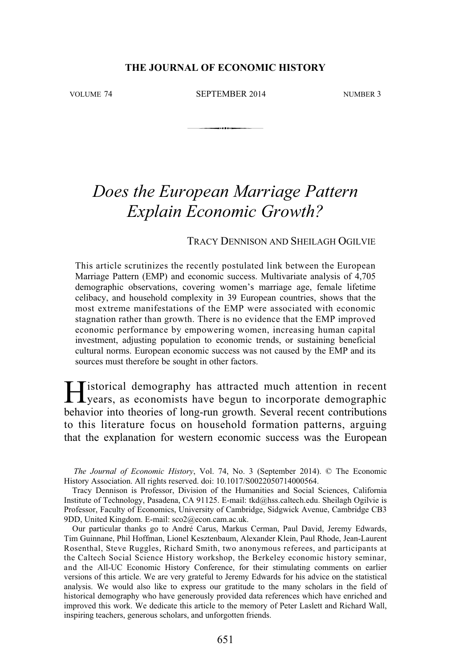### **THE JOURNAL OF ECONOMIC HISTORY**

VOLUME 74 SEPTEMBER 2014 NUMBER 3

# *Does the European Marriage Pattern Explain Economic Growth?*

### TRACY DENNISON AND SHEILAGH OGILVIE

This article scrutinizes the recently postulated link between the European Marriage Pattern (EMP) and economic success. Multivariate analysis of 4,705 demographic observations, covering women's marriage age, female lifetime celibacy, and household complexity in 39 European countries, shows that the most extreme manifestations of the EMP were associated with economic stagnation rather than growth. There is no evidence that the EMP improved economic performance by empowering women, increasing human capital investment, adjusting population to economic trends, or sustaining beneficial cultural norms. European economic success was not caused by the EMP and its sources must therefore be sought in other factors.

istorical demography has attracted much attention in recent Historical demography has attracted much attention in recent<br>years, as economists have begun to incorporate demographic behavior into theories of long-run growth. Several recent contributions to this literature focus on household formation patterns, arguing that the explanation for western economic success was the European

*The Journal of Economic History*, Vol. 74, No. 3 (September 2014). © The Economic History Association. All rights reserved. doi: 10.1017/S0022050714000564.

Tracy Dennison is Professor, Division of the Humanities and Social Sciences, California Institute of Technology, Pasadena, CA 91125. E-mail: tkd@hss.caltech.edu. Sheilagh Ogilvie is Professor, Faculty of Economics, University of Cambridge, Sidgwick Avenue, Cambridge CB3 9DD, United Kingdom. E-mail: sco2@econ.cam.ac.uk.

Our particular thanks go to André Carus, Markus Cerman, Paul David, Jeremy Edwards, Tim Guinnane, Phil Hoffman, Lionel Kesztenbaum, Alexander Klein, Paul Rhode, Jean-Laurent Rosenthal, Steve Ruggles, Richard Smith, two anonymous referees, and participants at the Caltech Social Science History workshop, the Berkeley economic history seminar, and the All-UC Economic History Conference, for their stimulating comments on earlier versions of this article. We are very grateful to Jeremy Edwards for his advice on the statistical analysis. We would also like to express our gratitude to the many scholars in the field of historical demography who have generously provided data references which have enriched and improved this work. We dedicate this article to the memory of Peter Laslett and Richard Wall, inspiring teachers, generous scholars, and unforgotten friends.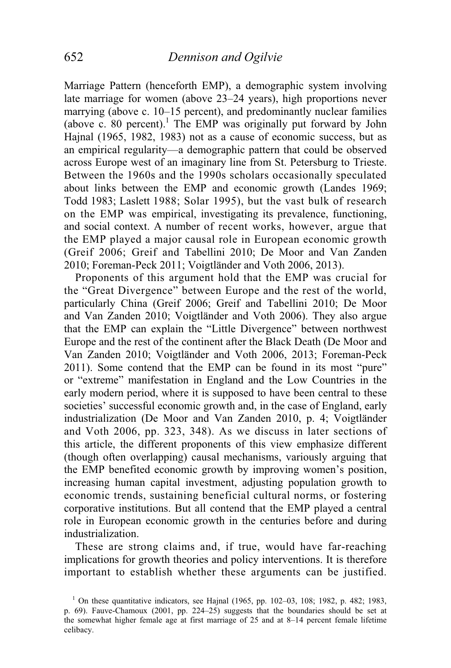Marriage Pattern (henceforth EMP), a demographic system involving late marriage for women (above 23–24 years), high proportions never marrying (above c. 10–15 percent), and predominantly nuclear families (above c. 80 percent). $1$  The EMP was originally put forward by John Hajnal (1965, 1982, 1983) not as a cause of economic success, but as an empirical regularity—a demographic pattern that could be observed across Europe west of an imaginary line from St. Petersburg to Trieste. Between the 1960s and the 1990s scholars occasionally speculated about links between the EMP and economic growth (Landes 1969; Todd 1983; Laslett 1988; Solar 1995), but the vast bulk of research on the EMP was empirical, investigating its prevalence, functioning, and social context. A number of recent works, however, argue that the EMP played a major causal role in European economic growth (Greif 2006; Greif and Tabellini 2010; De Moor and Van Zanden 2010; Foreman-Peck 2011; Voigtländer and Voth 2006, 2013).

 Proponents of this argument hold that the EMP was crucial for the "Great Divergence" between Europe and the rest of the world, particularly China (Greif 2006; Greif and Tabellini 2010; De Moor and Van Zanden 2010; Voigtländer and Voth 2006). They also argue that the EMP can explain the "Little Divergence" between northwest Europe and the rest of the continent after the Black Death (De Moor and Van Zanden 2010; Voigtländer and Voth 2006, 2013; Foreman-Peck 2011). Some contend that the EMP can be found in its most "pure" or "extreme" manifestation in England and the Low Countries in the early modern period, where it is supposed to have been central to these societies' successful economic growth and, in the case of England, early industrialization (De Moor and Van Zanden 2010, p. 4; Voigtländer and Voth 2006, pp. 323, 348). As we discuss in later sections of this article, the different proponents of this view emphasize different (though often overlapping) causal mechanisms, variously arguing that the EMP benefited economic growth by improving women's position, increasing human capital investment, adjusting population growth to economic trends, sustaining beneficial cultural norms, or fostering corporative institutions. But all contend that the EMP played a central role in European economic growth in the centuries before and during industrialization.

 These are strong claims and, if true, would have far-reaching implications for growth theories and policy interventions. It is therefore important to establish whether these arguments can be justified.

 <sup>1</sup> On these quantitative indicators, see Hajnal (1965, pp. 102–03, 108; 1982, p. 482; 1983, p. 69). Fauve-Chamoux (2001, pp. 224–25) suggests that the boundaries should be set at the somewhat higher female age at first marriage of 25 and at 8–14 percent female lifetime celibacy.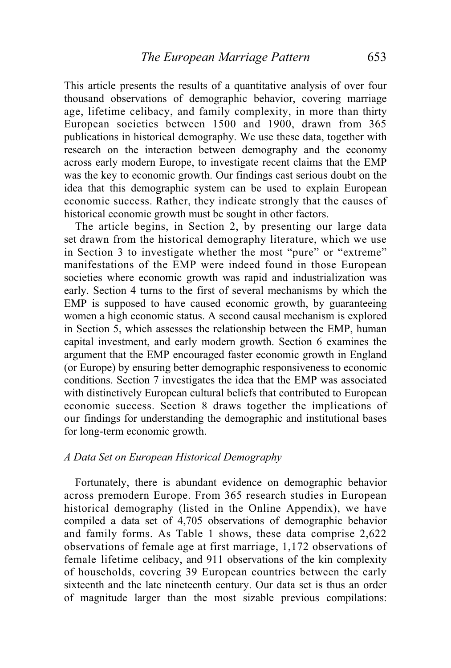This article presents the results of a quantitative analysis of over four thousand observations of demographic behavior, covering marriage age, lifetime celibacy, and family complexity, in more than thirty European societies between 1500 and 1900, drawn from 365 publications in historical demography. We use these data, together with research on the interaction between demography and the economy across early modern Europe, to investigate recent claims that the EMP was the key to economic growth. Our findings cast serious doubt on the idea that this demographic system can be used to explain European economic success. Rather, they indicate strongly that the causes of historical economic growth must be sought in other factors.

 The article begins, in Section 2, by presenting our large data set drawn from the historical demography literature, which we use in Section 3 to investigate whether the most "pure" or "extreme" manifestations of the EMP were indeed found in those European societies where economic growth was rapid and industrialization was early. Section 4 turns to the first of several mechanisms by which the EMP is supposed to have caused economic growth, by guaranteeing women a high economic status. A second causal mechanism is explored in Section 5, which assesses the relationship between the EMP, human capital investment, and early modern growth. Section 6 examines the argument that the EMP encouraged faster economic growth in England (or Europe) by ensuring better demographic responsiveness to economic conditions. Section 7 investigates the idea that the EMP was associated with distinctively European cultural beliefs that contributed to European economic success. Section 8 draws together the implications of our findings for understanding the demographic and institutional bases for long-term economic growth.

## *A Data Set on European Historical Demography*

 Fortunately, there is abundant evidence on demographic behavior across premodern Europe. From 365 research studies in European historical demography (listed in the Online Appendix), we have compiled a data set of 4,705 observations of demographic behavior and family forms. As Table 1 shows, these data comprise 2,622 observations of female age at first marriage, 1,172 observations of female lifetime celibacy, and 911 observations of the kin complexity of households, covering 39 European countries between the early sixteenth and the late nineteenth century. Our data set is thus an order of magnitude larger than the most sizable previous compilations: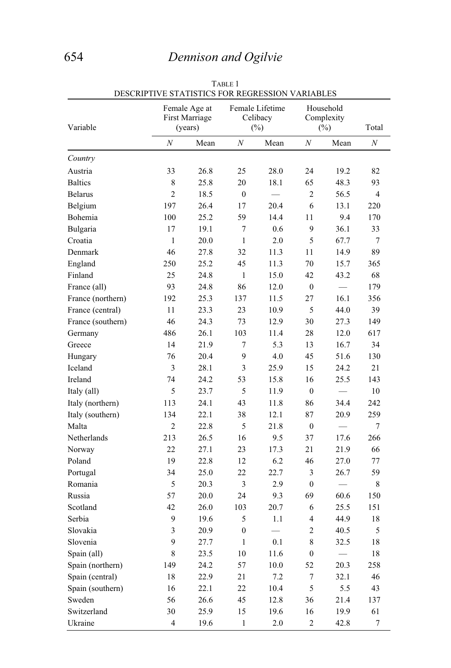# 654 *Dennison and Ogilvie*

| Variable          |                         | Female Age at<br>First Marriage<br>(years) |                  | Female Lifetime<br>Celibacy<br>$(\%)$ | Household<br>Complexity<br>$(\%)$ |                          | Total            |
|-------------------|-------------------------|--------------------------------------------|------------------|---------------------------------------|-----------------------------------|--------------------------|------------------|
|                   | $\cal N$                | Mean                                       | $\boldsymbol{N}$ | Mean                                  | $\boldsymbol{N}$                  | Mean                     | $\boldsymbol{N}$ |
| Country           |                         |                                            |                  |                                       |                                   |                          |                  |
| Austria           | 33                      | 26.8                                       | 25               | 28.0                                  | 24                                | 19.2                     | 82               |
| <b>Baltics</b>    | $\,$ 8 $\,$             | 25.8                                       | 20               | 18.1                                  | 65                                | 48.3                     | 93               |
| <b>Belarus</b>    | $\overline{2}$          | 18.5                                       | $\mathbf{0}$     |                                       | $\overline{c}$                    | 56.5                     | $\overline{4}$   |
| Belgium           | 197                     | 26.4                                       | 17               | 20.4                                  | 6                                 | 13.1                     | 220              |
| Bohemia           | 100                     | 25.2                                       | 59               | 14.4                                  | 11                                | 9.4                      | 170              |
| Bulgaria          | 17                      | 19.1                                       | $\overline{7}$   | 0.6                                   | 9                                 | 36.1                     | 33               |
| Croatia           | 1                       | 20.0                                       | $\mathbf{1}$     | 2.0                                   | 5                                 | 67.7                     | 7                |
| Denmark           | 46                      | 27.8                                       | 32               | 11.3                                  | 11                                | 14.9                     | 89               |
| England           | 250                     | 25.2                                       | 45               | 11.3                                  | 70                                | 15.7                     | 365              |
| Finland           | 25                      | 24.8                                       | 1                | 15.0                                  | 42                                | 43.2                     | 68               |
| France (all)      | 93                      | 24.8                                       | 86               | 12.0                                  | $\boldsymbol{0}$                  |                          | 179              |
| France (northern) | 192                     | 25.3                                       | 137              | 11.5                                  | 27                                | 16.1                     | 356              |
| France (central)  | 11                      | 23.3                                       | 23               | 10.9                                  | 5                                 | 44.0                     | 39               |
| France (southern) | 46                      | 24.3                                       | 73               | 12.9                                  | 30                                | 27.3                     | 149              |
| Germany           | 486                     | 26.1                                       | 103              | 11.4                                  | 28                                | 12.0                     | 617              |
| Greece            | 14                      | 21.9                                       | 7                | 5.3                                   | 13                                | 16.7                     | 34               |
| Hungary           | 76                      | 20.4                                       | 9                | 4.0                                   | 45                                | 51.6                     | 130              |
| Iceland           | 3                       | 28.1                                       | 3                | 25.9                                  | 15                                | 24.2                     | 21               |
| Ireland           | 74                      | 24.2                                       | 53               | 15.8                                  | 16                                | 25.5                     | 143              |
| Italy (all)       | 5                       | 23.7                                       | 5                | 11.9                                  | $\mathbf{0}$                      |                          | 10               |
| Italy (northern)  | 113                     | 24.1                                       | 43               | 11.8                                  | 86                                | 34.4                     | 242              |
| Italy (southern)  | 134                     | 22.1                                       | 38               | 12.1                                  | 87                                | 20.9                     | 259              |
| Malta             | $\overline{2}$          | 22.8                                       | 5                | 21.8                                  | $\mathbf{0}$                      | $\overline{\phantom{a}}$ | 7                |
| Netherlands       | 213                     | 26.5                                       | 16               | 9.5                                   | 37                                | 17.6                     | 266              |
| Norway            | 22                      | 27.1                                       | 23               | 17.3                                  | 21                                | 21.9                     | 66               |
| Poland            | 19                      | 22.8                                       | 12               | 6.2                                   | 46                                | 27.0                     | 77               |
| Portugal          | 34                      | 25.0                                       | 22               | 22.7                                  | 3                                 | 26.7                     | 59               |
| Romania           | 5                       | 20.3                                       | 3                | 2.9                                   | $\boldsymbol{0}$                  |                          | 8                |
| Russia            | 57                      | 20.0                                       | 24               | 9.3                                   | 69                                | 60.6                     | 150              |
| Scotland          | 42                      | 26.0                                       | 103              | 20.7                                  | 6                                 | 25.5                     | 151              |
| Serbia            | 9                       | 19.6                                       | 5                | 1.1                                   | $\overline{4}$                    | 44.9                     | 18               |
| Slovakia          | 3                       | 20.9                                       | $\boldsymbol{0}$ |                                       | $\boldsymbol{2}$                  | 40.5                     | 5                |
| Slovenia          | 9                       | 27.7                                       | $\mathbf{1}$     | 0.1                                   | $\,$ 8 $\,$                       | 32.5                     | 18               |
| Spain (all)       | $\,$ $\,$               | 23.5                                       | $10\,$           | 11.6                                  | $\boldsymbol{0}$                  |                          | 18               |
| Spain (northern)  | 149                     | 24.2                                       | 57               | $10.0\,$                              | 52                                | 20.3                     | 258              |
| Spain (central)   | $18\,$                  | 22.9                                       | 21               | 7.2                                   | $\boldsymbol{7}$                  | 32.1                     | 46               |
| Spain (southern)  | 16                      | 22.1                                       | 22               | 10.4                                  | 5                                 | 5.5                      | 43               |
| Sweden            | 56                      | 26.6                                       | 45               | 12.8                                  | 36                                | 21.4                     | 137              |
| Switzerland       | 30                      | 25.9                                       | 15               | 19.6                                  | 16                                | 19.9                     | 61               |
| Ukraine           | $\overline{\mathbf{4}}$ | 19.6                                       | $\mathbf{1}$     | 2.0                                   | $\boldsymbol{2}$                  | 42.8                     | 7                |

TABLE 1 DESCRIPTIVE STATISTICS FOR REGRESSION VARIABLES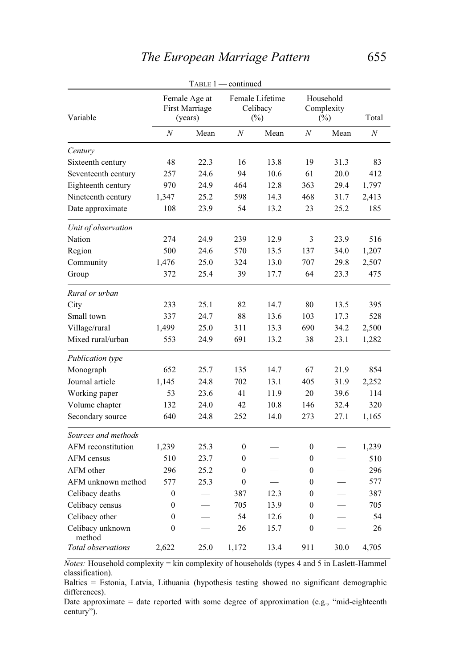|                            |                                                   |      | TABLE 1 - continued |                                       |                  |                                   |                |
|----------------------------|---------------------------------------------------|------|---------------------|---------------------------------------|------------------|-----------------------------------|----------------|
| Variable                   | Female Age at<br><b>First Marriage</b><br>(years) |      |                     | Female Lifetime<br>Celibacy<br>$(\%)$ |                  | Household<br>Complexity<br>$(\%)$ |                |
|                            | $\boldsymbol{N}$                                  | Mean | $\overline{N}$      | Mean                                  | $\boldsymbol{N}$ | Mean                              | $\overline{N}$ |
| Century                    |                                                   |      |                     |                                       |                  |                                   |                |
| Sixteenth century          | 48                                                | 22.3 | 16                  | 13.8                                  | 19               | 31.3                              | 83             |
| Seventeenth century        | 257                                               | 24.6 | 94                  | 10.6                                  | 61               | 20.0                              | 412            |
| Eighteenth century         | 970                                               | 24.9 | 464                 | 12.8                                  | 363              | 29.4                              | 1,797          |
| Nineteenth century         | 1,347                                             | 25.2 | 598                 | 14.3                                  | 468              | 31.7                              | 2,413          |
| Date approximate           | 108                                               | 23.9 | 54                  | 13.2                                  | 23               | 25.2                              | 185            |
| Unit of observation        |                                                   |      |                     |                                       |                  |                                   |                |
| Nation                     | 274                                               | 24.9 | 239                 | 12.9                                  | 3                | 23.9                              | 516            |
| Region                     | 500                                               | 24.6 | 570                 | 13.5                                  | 137              | 34.0                              | 1,207          |
| Community                  | 1,476                                             | 25.0 | 324                 | 13.0                                  | 707              | 29.8                              | 2,507          |
| Group                      | 372                                               | 25.4 | 39                  | 17.7                                  | 64               | 23.3                              | 475            |
| Rural or urban             |                                                   |      |                     |                                       |                  |                                   |                |
| City                       | 233                                               | 25.1 | 82                  | 14.7                                  | 80               | 13.5                              | 395            |
| Small town                 | 337                                               | 24.7 | 88                  | 13.6                                  | 103              | 17.3                              | 528            |
| Village/rural              | 1,499                                             | 25.0 | 311                 | 13.3                                  | 690              | 34.2                              | 2,500          |
| Mixed rural/urban          | 553                                               | 24.9 | 691                 | 13.2                                  | 38               | 23.1                              | 1,282          |
| Publication type           |                                                   |      |                     |                                       |                  |                                   |                |
| Monograph                  | 652                                               | 25.7 | 135                 | 14.7                                  | 67               | 21.9                              | 854            |
| Journal article            | 1,145                                             | 24.8 | 702                 | 13.1                                  | 405              | 31.9                              | 2,252          |
| Working paper              | 53                                                | 23.6 | 41                  | 11.9                                  | 20               | 39.6                              | 114            |
| Volume chapter             | 132                                               | 24.0 | 42                  | 10.8                                  | 146              | 32.4                              | 320            |
| Secondary source           | 640                                               | 24.8 | 252                 | 14.0                                  | 273              | 27.1                              | 1,165          |
| Sources and methods        |                                                   |      |                     |                                       |                  |                                   |                |
| AFM reconstitution         | 1,239                                             | 25.3 | $\boldsymbol{0}$    |                                       | $\boldsymbol{0}$ |                                   | 1,239          |
| AFM census                 | 510                                               | 23.7 | $\boldsymbol{0}$    |                                       | $\mathbf{0}$     |                                   | 510            |
| AFM other                  | 296                                               | 25.2 | $\mathbf{0}$        |                                       | $\mathbf{0}$     |                                   | 296            |
| AFM unknown method         | 577                                               | 25.3 | $\boldsymbol{0}$    |                                       | $\mathbf{0}$     | $\overline{\phantom{0}}$          | 577            |
| Celibacy deaths            | $\boldsymbol{0}$                                  |      | 387                 | 12.3                                  | $\mathbf{0}$     |                                   | 387            |
| Celibacy census            | $\boldsymbol{0}$                                  |      | 705                 | 13.9                                  | 0                |                                   | 705            |
| Celibacy other             | $\mathbf{0}$                                      |      | 54                  | 12.6                                  | $\mathbf{0}$     |                                   | 54             |
| Celibacy unknown<br>method | $\mathbf{0}$                                      |      | 26                  | 15.7                                  | $\mathbf{0}$     |                                   | 26             |
| Total observations         | 2,622                                             | 25.0 | 1,172               | 13.4                                  | 911              | 30.0                              | 4,705          |

*Notes:* Household complexity = kin complexity of households (types 4 and 5 in Laslett-Hammel classification).

Baltics = Estonia, Latvia, Lithuania (hypothesis testing showed no significant demographic differences).

Date approximate = date reported with some degree of approximation (e.g., "mid-eighteenth century").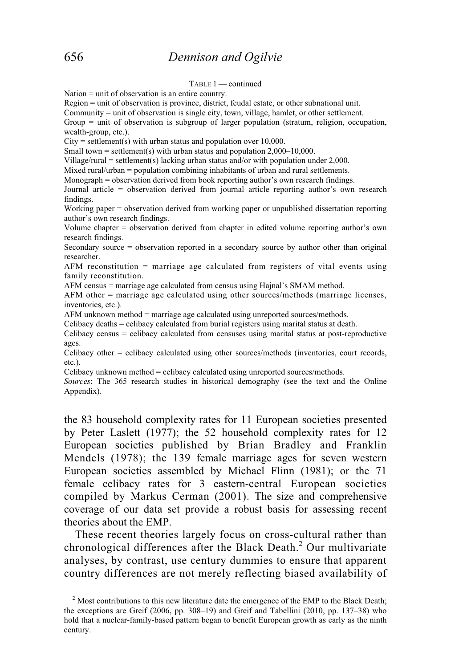TABLE 1 — continued

Nation = unit of observation is an entire country.

Region = unit of observation is province, district, feudal estate, or other subnational unit.

Community = unit of observation is single city, town, village, hamlet, or other settlement.

Group = unit of observation is subgroup of larger population (stratum, religion, occupation, wealth-group, etc.).

 $City = settlement(s)$  with urban status and population over 10,000.

Small town = settlement(s) with urban status and population  $2,000-10,000$ .

Village/rural = settlement(s) lacking urban status and/or with population under  $2,000$ .

Mixed rural/urban = population combining inhabitants of urban and rural settlements.

Monograph = observation derived from book reporting author's own research findings.

Journal article = observation derived from journal article reporting author's own research findings.

Working paper = observation derived from working paper or unpublished dissertation reporting author's own research findings.

Volume chapter = observation derived from chapter in edited volume reporting author's own research findings.

Secondary source = observation reported in a secondary source by author other than original researcher.

AFM reconstitution = marriage age calculated from registers of vital events using family reconstitution.

AFM census = marriage age calculated from census using Hajnal's SMAM method.

AFM other = marriage age calculated using other sources/methods (marriage licenses, inventories, etc.).

AFM unknown method = marriage age calculated using unreported sources/methods.

Celibacy deaths = celibacy calculated from burial registers using marital status at death.

Celibacy census = celibacy calculated from censuses using marital status at post-reproductive ages.

Celibacy other = celibacy calculated using other sources/methods (inventories, court records, etc.).

Celibacy unknown method = celibacy calculated using unreported sources/methods.

*Sources*: The 365 research studies in historical demography (see the text and the Online Appendix).

the 83 household complexity rates for 11 European societies presented by Peter Laslett (1977); the 52 household complexity rates for 12 European societies published by Brian Bradley and Franklin Mendels (1978); the 139 female marriage ages for seven western European societies assembled by Michael Flinn (1981); or the 71 female celibacy rates for 3 eastern-central European societies compiled by Markus Cerman (2001). The size and comprehensive coverage of our data set provide a robust basis for assessing recent theories about the EMP.

 These recent theories largely focus on cross-cultural rather than chronological differences after the Black Death.<sup>2</sup> Our multivariate analyses, by contrast, use century dummies to ensure that apparent country differences are not merely reflecting biased availability of

<sup>&</sup>lt;sup>2</sup> Most contributions to this new literature date the emergence of the EMP to the Black Death; the exceptions are Greif (2006, pp. 308–19) and Greif and Tabellini (2010, pp. 137–38) who hold that a nuclear-family-based pattern began to benefit European growth as early as the ninth century.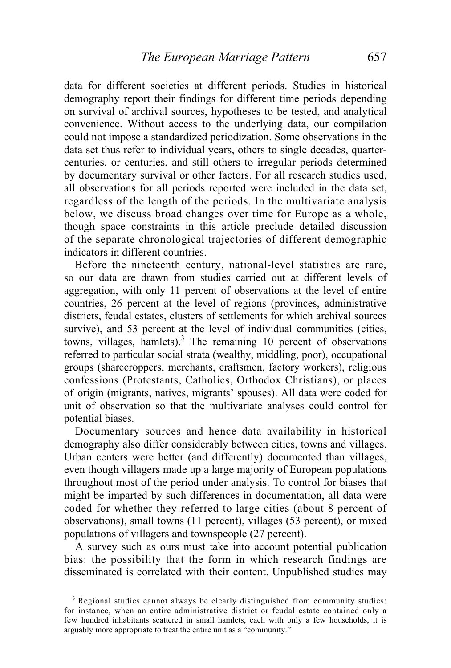data for different societies at different periods. Studies in historical demography report their findings for different time periods depending on survival of archival sources, hypotheses to be tested, and analytical convenience. Without access to the underlying data, our compilation could not impose a standardized periodization. Some observations in the data set thus refer to individual years, others to single decades, quartercenturies, or centuries, and still others to irregular periods determined by documentary survival or other factors. For all research studies used, all observations for all periods reported were included in the data set, regardless of the length of the periods. In the multivariate analysis below, we discuss broad changes over time for Europe as a whole, though space constraints in this article preclude detailed discussion of the separate chronological trajectories of different demographic indicators in different countries.

 Before the nineteenth century, national-level statistics are rare, so our data are drawn from studies carried out at different levels of aggregation, with only 11 percent of observations at the level of entire countries, 26 percent at the level of regions (provinces, administrative districts, feudal estates, clusters of settlements for which archival sources survive), and 53 percent at the level of individual communities (cities, towns, villages, hamlets).<sup>3</sup> The remaining 10 percent of observations referred to particular social strata (wealthy, middling, poor), occupational groups (sharecroppers, merchants, craftsmen, factory workers), religious confessions (Protestants, Catholics, Orthodox Christians), or places of origin (migrants, natives, migrants' spouses). All data were coded for unit of observation so that the multivariate analyses could control for potential biases.

 Documentary sources and hence data availability in historical demography also differ considerably between cities, towns and villages. Urban centers were better (and differently) documented than villages, even though villagers made up a large majority of European populations throughout most of the period under analysis. To control for biases that might be imparted by such differences in documentation, all data were coded for whether they referred to large cities (about 8 percent of observations), small towns (11 percent), villages (53 percent), or mixed populations of villagers and townspeople (27 percent).

 A survey such as ours must take into account potential publication bias: the possibility that the form in which research findings are disseminated is correlated with their content. Unpublished studies may

<sup>&</sup>lt;sup>3</sup> Regional studies cannot always be clearly distinguished from community studies: for instance, when an entire administrative district or feudal estate contained only a few hundred inhabitants scattered in small hamlets, each with only a few households, it is arguably more appropriate to treat the entire unit as a "community."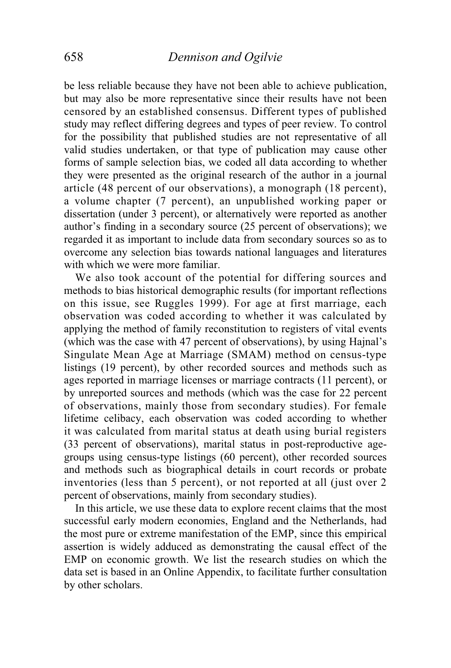be less reliable because they have not been able to achieve publication, but may also be more representative since their results have not been censored by an established consensus. Different types of published study may reflect differing degrees and types of peer review. To control for the possibility that published studies are not representative of all valid studies undertaken, or that type of publication may cause other forms of sample selection bias, we coded all data according to whether they were presented as the original research of the author in a journal article (48 percent of our observations), a monograph (18 percent), a volume chapter (7 percent), an unpublished working paper or dissertation (under 3 percent), or alternatively were reported as another author's finding in a secondary source (25 percent of observations); we regarded it as important to include data from secondary sources so as to overcome any selection bias towards national languages and literatures with which we were more familiar.

 We also took account of the potential for differing sources and methods to bias historical demographic results (for important reflections on this issue, see Ruggles 1999). For age at first marriage, each observation was coded according to whether it was calculated by applying the method of family reconstitution to registers of vital events (which was the case with 47 percent of observations), by using Hajnal's Singulate Mean Age at Marriage (SMAM) method on census-type listings (19 percent), by other recorded sources and methods such as ages reported in marriage licenses or marriage contracts (11 percent), or by unreported sources and methods (which was the case for 22 percent of observations, mainly those from secondary studies). For female lifetime celibacy, each observation was coded according to whether it was calculated from marital status at death using burial registers (33 percent of observations), marital status in post-reproductive agegroups using census-type listings (60 percent), other recorded sources and methods such as biographical details in court records or probate inventories (less than 5 percent), or not reported at all (just over 2 percent of observations, mainly from secondary studies).

 In this article, we use these data to explore recent claims that the most successful early modern economies, England and the Netherlands, had the most pure or extreme manifestation of the EMP, since this empirical assertion is widely adduced as demonstrating the causal effect of the EMP on economic growth. We list the research studies on which the data set is based in an Online Appendix, to facilitate further consultation by other scholars.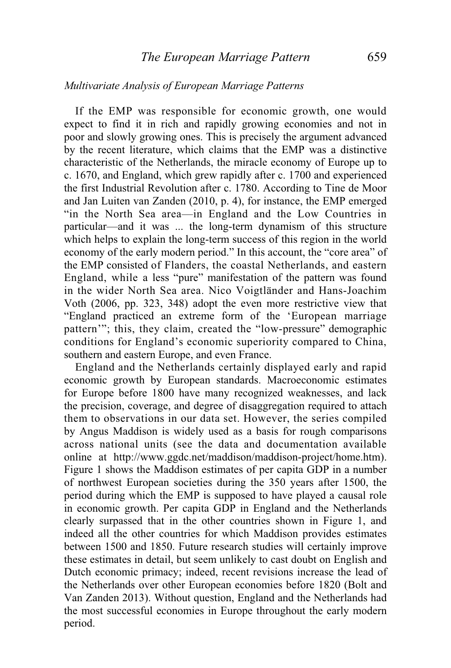## *Multivariate Analysis of European Marriage Patterns*

 If the EMP was responsible for economic growth, one would expect to find it in rich and rapidly growing economies and not in poor and slowly growing ones. This is precisely the argument advanced by the recent literature, which claims that the EMP was a distinctive characteristic of the Netherlands, the miracle economy of Europe up to c. 1670, and England, which grew rapidly after c. 1700 and experienced the first Industrial Revolution after c. 1780. According to Tine de Moor and Jan Luiten van Zanden (2010, p. 4), for instance, the EMP emerged "in the North Sea area—in England and the Low Countries in particular—and it was ... the long-term dynamism of this structure which helps to explain the long-term success of this region in the world economy of the early modern period." In this account, the "core area" of the EMP consisted of Flanders, the coastal Netherlands, and eastern England, while a less "pure" manifestation of the pattern was found in the wider North Sea area. Nico Voigtländer and Hans-Joachim Voth (2006, pp. 323, 348) adopt the even more restrictive view that "England practiced an extreme form of the 'European marriage pattern'"; this, they claim, created the "low-pressure" demographic conditions for England's economic superiority compared to China, southern and eastern Europe, and even France.

 England and the Netherlands certainly displayed early and rapid economic growth by European standards. Macroeconomic estimates for Europe before 1800 have many recognized weaknesses, and lack the precision, coverage, and degree of disaggregation required to attach them to observations in our data set. However, the series compiled by Angus Maddison is widely used as a basis for rough comparisons across national units (see the data and documentation available online at http://www.ggdc.net/maddison/maddison-project/home.htm). Figure 1 shows the Maddison estimates of per capita GDP in a number of northwest European societies during the 350 years after 1500, the period during which the EMP is supposed to have played a causal role in economic growth. Per capita GDP in England and the Netherlands clearly surpassed that in the other countries shown in Figure 1, and indeed all the other countries for which Maddison provides estimates between 1500 and 1850. Future research studies will certainly improve these estimates in detail, but seem unlikely to cast doubt on English and Dutch economic primacy; indeed, recent revisions increase the lead of the Netherlands over other European economies before 1820 (Bolt and Van Zanden 2013). Without question, England and the Netherlands had the most successful economies in Europe throughout the early modern period.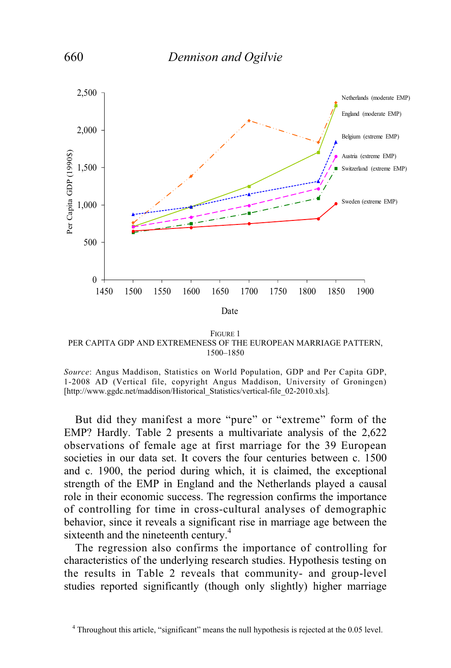

FIGURE 1 PER CAPITA GDP AND EXTREMENESS OF THE EUROPEAN MARRIAGE PATTERN, 1500–1850

 But did they manifest a more "pure" or "extreme" form of the EMP? Hardly. Table 2 presents a multivariate analysis of the 2,622 observations of female age at first marriage for the 39 European societies in our data set. It covers the four centuries between c. 1500 and c. 1900, the period during which, it is claimed, the exceptional strength of the EMP in England and the Netherlands played a causal role in their economic success. The regression confirms the importance of controlling for time in cross-cultural analyses of demographic behavior, since it reveals a significant rise in marriage age between the sixteenth and the nineteenth century.<sup>4</sup>

 The regression also confirms the importance of controlling for characteristics of the underlying research studies. Hypothesis testing on the results in Table 2 reveals that community- and group-level studies reported significantly (though only slightly) higher marriage

*Source*: Angus Maddison, Statistics on World Population, GDP and Per Capita GDP, 1-2008 AD (Vertical file, copyright Angus Maddison, University of Groningen) [http://www.ggdc.net/maddison/Historical\_Statistics/vertical-file\_02-2010.xls].

 <sup>4</sup> Throughout this article, "significant" means the null hypothesis is rejected at the 0.05 level.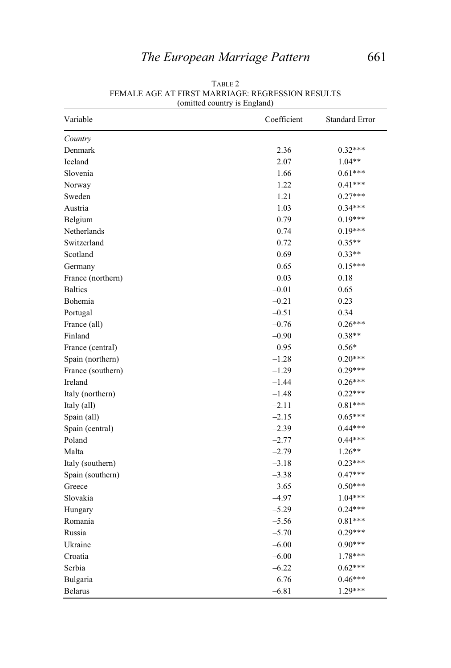| Variable          | Coefficient | <b>Standard Error</b> |
|-------------------|-------------|-----------------------|
| Country           |             |                       |
| Denmark           | 2.36        | $0.32***$             |
| Iceland           | 2.07        | $1.04**$              |
| Slovenia          | 1.66        | $0.61***$             |
| Norway            | 1.22        | $0.41***$             |
| Sweden            | 1.21        | $0.27***$             |
| Austria           | 1.03        | $0.34***$             |
| Belgium           | 0.79        | $0.19***$             |
| Netherlands       | 0.74        | $0.19***$             |
| Switzerland       | 0.72        | $0.35**$              |
| Scotland          | 0.69        | $0.33**$              |
| Germany           | 0.65        | $0.15***$             |
| France (northern) | 0.03        | 0.18                  |
| <b>Baltics</b>    | $-0.01$     | 0.65                  |
| Bohemia           | $-0.21$     | 0.23                  |
| Portugal          | $-0.51$     | 0.34                  |
| France (all)      | $-0.76$     | $0.26***$             |
| Finland           | $-0.90$     | $0.38**$              |
| France (central)  | $-0.95$     | $0.56*$               |
| Spain (northern)  | $-1.28$     | $0.20***$             |
| France (southern) | $-1.29$     | $0.29***$             |
| Ireland           | $-1.44$     | $0.26***$             |
| Italy (northern)  | $-1.48$     | $0.22***$             |
| Italy (all)       | $-2.11$     | $0.81***$             |
| Spain (all)       | $-2.15$     | $0.65***$             |
| Spain (central)   | $-2.39$     | $0.44***$             |
| Poland            | $-2.77$     | $0.44***$             |
| Malta             | $-2.79$     | $1.26**$              |
| Italy (southern)  | $-3.18$     | $0.23***$             |
| Spain (southern)  | $-3.38$     | $0.47***$             |
| Greece            | $-3.65$     | $0.50***$             |
| Slovakia          | $-4.97$     | $1.04***$             |
| Hungary           | $-5.29$     | $0.24***$             |
| Romania           | $-5.56$     | $0.81***$             |
| Russia            | $-5.70$     | $0.29***$             |
| Ukraine           | $-6.00$     | $0.90***$             |
| Croatia           | $-6.00$     | 1.78***               |
| Serbia            | $-6.22$     | $0.62***$             |
| Bulgaria          | $-6.76$     | $0.46***$             |
| <b>Belarus</b>    | $-6.81$     | 1.29***               |

TABLE 2 FEMALE AGE AT FIRST MARRIAGE: REGRESSION RESULTS (omitted country is England)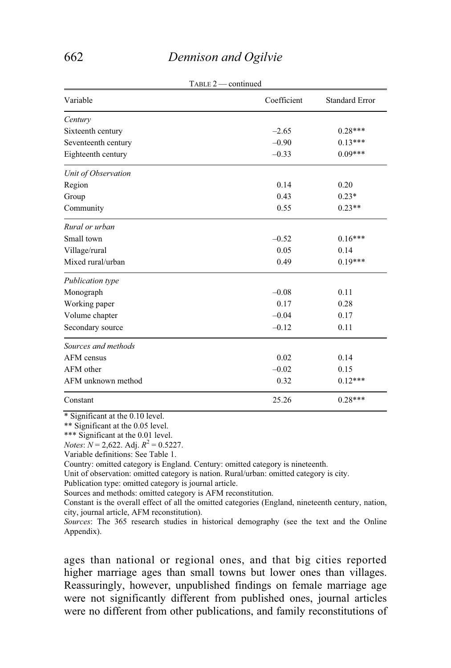# 662 *Dennison and Ogilvie*

| $1$ ABLE $2$ — continued |                       |
|--------------------------|-----------------------|
| Coefficient              | <b>Standard Error</b> |
|                          |                       |
| $-2.65$                  | $0.28***$             |
| $-0.90$                  | $0.13***$             |
| $-0.33$                  | $0.09***$             |
|                          |                       |
| 0.14                     | 0.20                  |
| 0.43                     | $0.23*$               |
| 0.55                     | $0.23**$              |
|                          |                       |
| $-0.52$                  | $0.16***$             |
| 0.05                     | 0.14                  |
| 0.49                     | $0.19***$             |
|                          |                       |
| $-0.08$                  | 0.11                  |
| 0.17                     | 0.28                  |
| $-0.04$                  | 0.17                  |
| $-0.12$                  | 0.11                  |
|                          |                       |
| 0.02                     | 0.14                  |
| $-0.02$                  | 0.15                  |
| 0.32                     | $0.12***$             |
| 25.26                    | $0.28***$             |
|                          |                       |

 $T_{\text{ADL}} = 2$  continued

\* Significant at the 0.10 level.

\*\* Significant at the 0.05 level.

\*\*\* Significant at the 0.01 level.

*Notes*:  $N = 2,622$ . Adj.  $R^2 = 0.5227$ .

Variable definitions: See Table 1.

Country: omitted category is England. Century: omitted category is nineteenth.

Unit of observation: omitted category is nation. Rural/urban: omitted category is city.

Publication type: omitted category is journal article.

Sources and methods: omitted category is AFM reconstitution.

Constant is the overall effect of all the omitted categories (England, nineteenth century, nation, city, journal article, AFM reconstitution).

*Sources*: The 365 research studies in historical demography (see the text and the Online Appendix).

ages than national or regional ones, and that big cities reported higher marriage ages than small towns but lower ones than villages. Reassuringly, however, unpublished findings on female marriage age were not significantly different from published ones, journal articles were no different from other publications, and family reconstitutions of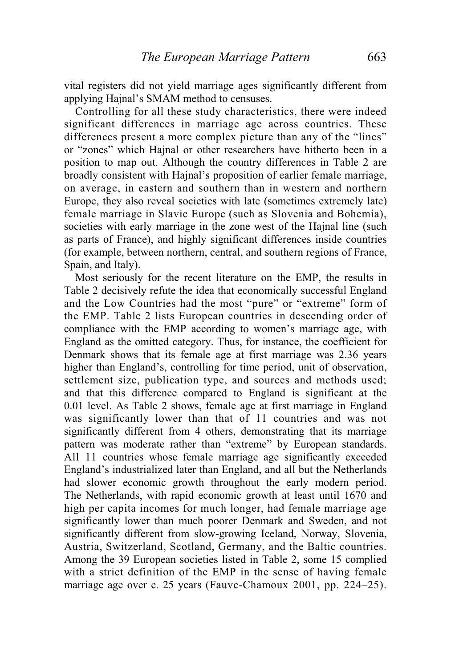vital registers did not yield marriage ages significantly different from applying Hajnal's SMAM method to censuses.

 Controlling for all these study characteristics, there were indeed significant differences in marriage age across countries. These differences present a more complex picture than any of the "lines" or "zones" which Hajnal or other researchers have hitherto been in a position to map out. Although the country differences in Table 2 are broadly consistent with Hajnal's proposition of earlier female marriage, on average, in eastern and southern than in western and northern Europe, they also reveal societies with late (sometimes extremely late) female marriage in Slavic Europe (such as Slovenia and Bohemia), societies with early marriage in the zone west of the Hajnal line (such as parts of France), and highly significant differences inside countries (for example, between northern, central, and southern regions of France, Spain, and Italy).

 Most seriously for the recent literature on the EMP, the results in Table 2 decisively refute the idea that economically successful England and the Low Countries had the most "pure" or "extreme" form of the EMP. Table 2 lists European countries in descending order of compliance with the EMP according to women's marriage age, with England as the omitted category. Thus, for instance, the coefficient for Denmark shows that its female age at first marriage was 2.36 years higher than England's, controlling for time period, unit of observation, settlement size, publication type, and sources and methods used; and that this difference compared to England is significant at the 0.01 level. As Table 2 shows, female age at first marriage in England was significantly lower than that of 11 countries and was not significantly different from 4 others, demonstrating that its marriage pattern was moderate rather than "extreme" by European standards. All 11 countries whose female marriage age significantly exceeded England's industrialized later than England, and all but the Netherlands had slower economic growth throughout the early modern period. The Netherlands, with rapid economic growth at least until 1670 and high per capita incomes for much longer, had female marriage age significantly lower than much poorer Denmark and Sweden, and not significantly different from slow-growing Iceland, Norway, Slovenia, Austria, Switzerland, Scotland, Germany, and the Baltic countries. Among the 39 European societies listed in Table 2, some 15 complied with a strict definition of the EMP in the sense of having female marriage age over c. 25 years (Fauve-Chamoux 2001, pp. 224–25).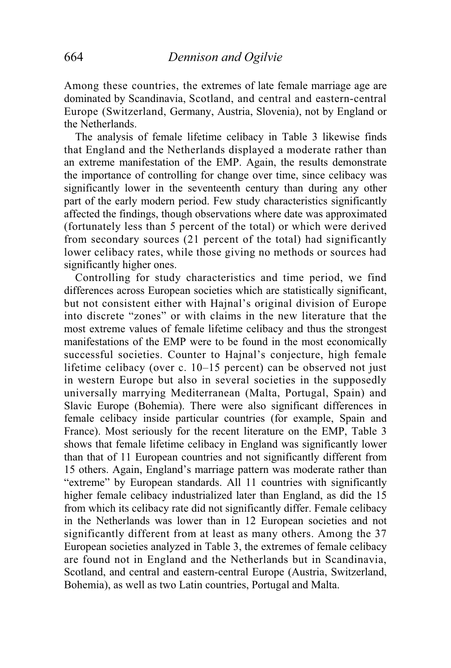Among these countries, the extremes of late female marriage age are dominated by Scandinavia, Scotland, and central and eastern-central Europe (Switzerland, Germany, Austria, Slovenia), not by England or the Netherlands.

 The analysis of female lifetime celibacy in Table 3 likewise finds that England and the Netherlands displayed a moderate rather than an extreme manifestation of the EMP. Again, the results demonstrate the importance of controlling for change over time, since celibacy was significantly lower in the seventeenth century than during any other part of the early modern period. Few study characteristics significantly affected the findings, though observations where date was approximated (fortunately less than 5 percent of the total) or which were derived from secondary sources (21 percent of the total) had significantly lower celibacy rates, while those giving no methods or sources had significantly higher ones.

 Controlling for study characteristics and time period, we find differences across European societies which are statistically significant, but not consistent either with Hajnal's original division of Europe into discrete "zones" or with claims in the new literature that the most extreme values of female lifetime celibacy and thus the strongest manifestations of the EMP were to be found in the most economically successful societies. Counter to Hajnal's conjecture, high female lifetime celibacy (over c. 10–15 percent) can be observed not just in western Europe but also in several societies in the supposedly universally marrying Mediterranean (Malta, Portugal, Spain) and Slavic Europe (Bohemia). There were also significant differences in female celibacy inside particular countries (for example, Spain and France). Most seriously for the recent literature on the EMP, Table 3 shows that female lifetime celibacy in England was significantly lower than that of 11 European countries and not significantly different from 15 others. Again, England's marriage pattern was moderate rather than "extreme" by European standards. All 11 countries with significantly higher female celibacy industrialized later than England, as did the 15 from which its celibacy rate did not significantly differ. Female celibacy in the Netherlands was lower than in 12 European societies and not significantly different from at least as many others. Among the 37 European societies analyzed in Table 3, the extremes of female celibacy are found not in England and the Netherlands but in Scandinavia, Scotland, and central and eastern-central Europe (Austria, Switzerland, Bohemia), as well as two Latin countries, Portugal and Malta.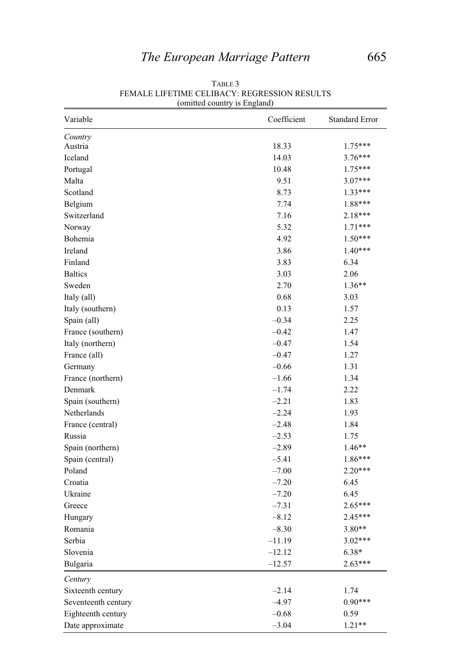| Variable            | Coefficient | <b>Standard Error</b> |
|---------------------|-------------|-----------------------|
| Country             |             |                       |
| Austria             | 18.33       | 1.75***               |
| Iceland             | 14.03       | 3.76***               |
| Portugal            | 10.48       | 1.75***               |
| Malta               | 9.51        | $3.07***$             |
| Scotland            | 8.73        | 1.33***               |
| Belgium             | 7.74        | 1.88***               |
| Switzerland         | 7.16        | 2.18***               |
| Norway              | 5.32        | $1.71***$             |
| Bohemia             | 4.92        | $1.50***$             |
| Ireland             | 3.86        | $1.40***$             |
| Finland             | 3.83        | 6.34                  |
| <b>Baltics</b>      | 3.03        | 2.06                  |
| Sweden              | 2.70        | $1.36**$              |
| Italy (all)         | 0.68        | 3.03                  |
| Italy (southern)    | 0.13        | 1.57                  |
| Spain (all)         | $-0.34$     | 2.25                  |
| France (southern)   | $-0.42$     | 1.47                  |
| Italy (northern)    | $-0.47$     | 1.54                  |
| France (all)        | $-0.47$     | 1.27                  |
| Germany             | $-0.66$     | 1.31                  |
| France (northern)   | $-1.66$     | 1.34                  |
| Denmark             | $-1.74$     | 2.22                  |
| Spain (southern)    | $-2.21$     | 1.83                  |
| Netherlands         | $-2.24$     | 1.93                  |
| France (central)    | $-2.48$     | 1.84                  |
| Russia              | $-2.53$     | 1.75                  |
| Spain (northern)    | $-2.89$     | $1.46**$              |
| Spain (central)     | $-5.41$     | $1.86***$             |
| Poland              | $-7.00$     | $2.20***$             |
| Croatia             | $-7.20$     | 6.45                  |
| Ukraine             | $-7.20$     | 6.45                  |
| Greece              | $-7.31$     | $2.65***$             |
| Hungary             | $-8.12$     | $2.45***$             |
| Romania             | $-8.30$     | 3.80**                |
| Serbia              | $-11.19$    | $3.02***$             |
| Slovenia            | $-12.12$    | $6.38*$               |
| Bulgaria            | $-12.57$    | $2.63***$             |
| Century             |             |                       |
| Sixteenth century   | $-2.14$     | 1.74                  |
| Seventeenth century | $-4.97$     | $0.90***$             |
| Eighteenth century  | $-0.68$     | 0.59                  |
| Date approximate    | $-3.04$     | $1.21**$              |

TABLE 3 FEMALE LIFETIME CELIBACY: REGRESSION RESULTS (omitted country is England)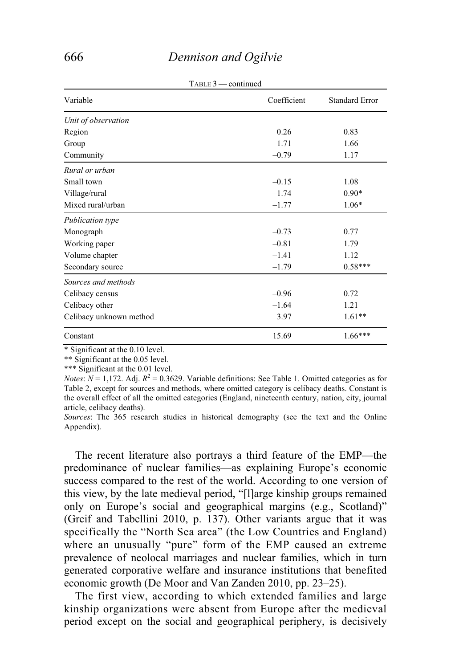| $1$ ADLE $J =$ Continued |                       |  |
|--------------------------|-----------------------|--|
| Coefficient              | <b>Standard Error</b> |  |
|                          |                       |  |
| 0.26                     | 0.83                  |  |
| 1.71                     | 1.66                  |  |
| $-0.79$                  | 1.17                  |  |
|                          |                       |  |
| $-0.15$                  | 1.08                  |  |
| $-1.74$                  | $0.90*$               |  |
| $-1.77$                  | $1.06*$               |  |
|                          |                       |  |
| $-0.73$                  | 0.77                  |  |
| $-0.81$                  | 1.79                  |  |
| $-1.41$                  | 1.12                  |  |
| $-1.79$                  | $0.58***$             |  |
|                          |                       |  |
| $-0.96$                  | 0.72                  |  |
| $-1.64$                  | 1.21                  |  |
| 3.97                     | $1.61**$              |  |
| 15.69                    | $1.66***$             |  |
|                          |                       |  |

 $T_{\text{ADIP}}$  3  $\alpha$  continued

\* Significant at the 0.10 level.

\*\* Significant at the 0.05 level.

\*\*\* Significant at the 0.01 level.

*Notes*:  $N = 1,172$ . Adj.  $R^2 = 0.3629$ . Variable definitions: See Table 1. Omitted categories as for Table 2, except for sources and methods, where omitted category is celibacy deaths. Constant is the overall effect of all the omitted categories (England, nineteenth century, nation, city, journal article, celibacy deaths).

*Sources*: The 365 research studies in historical demography (see the text and the Online Appendix).

 The recent literature also portrays a third feature of the EMP—the predominance of nuclear families—as explaining Europe's economic success compared to the rest of the world. According to one version of this view, by the late medieval period, "[l]arge kinship groups remained only on Europe's social and geographical margins (e.g., Scotland)" (Greif and Tabellini 2010, p. 137). Other variants argue that it was specifically the "North Sea area" (the Low Countries and England) where an unusually "pure" form of the EMP caused an extreme prevalence of neolocal marriages and nuclear families, which in turn generated corporative welfare and insurance institutions that benefited economic growth (De Moor and Van Zanden 2010, pp. 23–25).

 The first view, according to which extended families and large kinship organizations were absent from Europe after the medieval period except on the social and geographical periphery, is decisively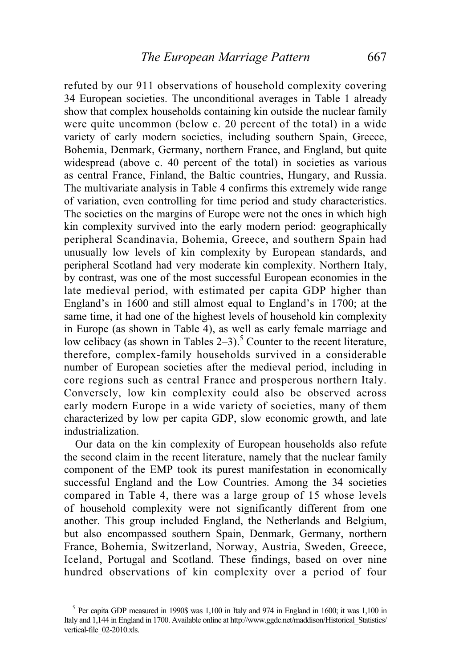refuted by our 911 observations of household complexity covering 34 European societies. The unconditional averages in Table 1 already show that complex households containing kin outside the nuclear family were quite uncommon (below c. 20 percent of the total) in a wide variety of early modern societies, including southern Spain, Greece, Bohemia, Denmark, Germany, northern France, and England, but quite widespread (above c. 40 percent of the total) in societies as various as central France, Finland, the Baltic countries, Hungary, and Russia. The multivariate analysis in Table 4 confirms this extremely wide range of variation, even controlling for time period and study characteristics. The societies on the margins of Europe were not the ones in which high kin complexity survived into the early modern period: geographically peripheral Scandinavia, Bohemia, Greece, and southern Spain had unusually low levels of kin complexity by European standards, and peripheral Scotland had very moderate kin complexity. Northern Italy, by contrast, was one of the most successful European economies in the late medieval period, with estimated per capita GDP higher than England's in 1600 and still almost equal to England's in 1700; at the same time, it had one of the highest levels of household kin complexity in Europe (as shown in Table 4), as well as early female marriage and low celibacy (as shown in Tables  $2-3$ ).<sup>5</sup> Counter to the recent literature, therefore, complex-family households survived in a considerable number of European societies after the medieval period, including in core regions such as central France and prosperous northern Italy. Conversely, low kin complexity could also be observed across early modern Europe in a wide variety of societies, many of them characterized by low per capita GDP, slow economic growth, and late industrialization.

 Our data on the kin complexity of European households also refute the second claim in the recent literature, namely that the nuclear family component of the EMP took its purest manifestation in economically successful England and the Low Countries. Among the 34 societies compared in Table 4, there was a large group of 15 whose levels of household complexity were not significantly different from one another. This group included England, the Netherlands and Belgium, but also encompassed southern Spain, Denmark, Germany, northern France, Bohemia, Switzerland, Norway, Austria, Sweden, Greece, Iceland, Portugal and Scotland. These findings, based on over nine hundred observations of kin complexity over a period of four

<sup>&</sup>lt;sup>5</sup> Per capita GDP measured in 1990\$ was 1,100 in Italy and 974 in England in 1600; it was 1,100 in Italy and 1,144 in England in 1700. Available online at http://www.ggdc.net/maddison/Historical\_Statistics/ vertical-file\_02-2010.xls.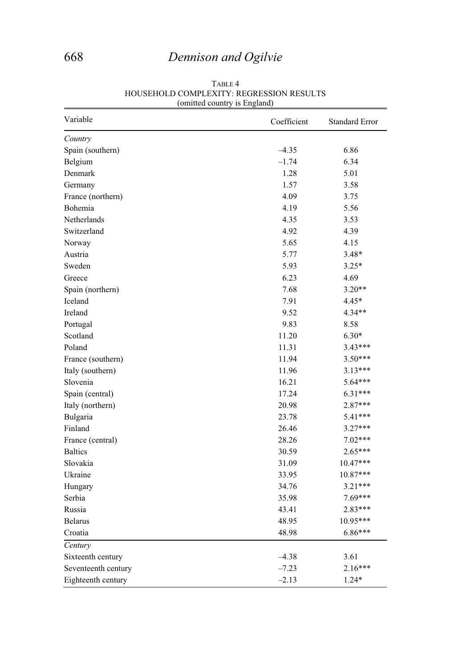# 668 *Dennison and Ogilvie*

| Variable            | Coefficient | <b>Standard Error</b> |
|---------------------|-------------|-----------------------|
| Country             |             |                       |
| Spain (southern)    | $-4.35$     | 6.86                  |
| Belgium             | $-1.74$     | 6.34                  |
| Denmark             | 1.28        | 5.01                  |
| Germany             | 1.57        | 3.58                  |
| France (northern)   | 4.09        | 3.75                  |
| Bohemia             | 4.19        | 5.56                  |
| Netherlands         | 4.35        | 3.53                  |
| Switzerland         | 4.92        | 4.39                  |
| Norway              | 5.65        | 4.15                  |
| Austria             | 5.77        | $3.48*$               |
| Sweden              | 5.93        | $3.25*$               |
| Greece              | 6.23        | 4.69                  |
| Spain (northern)    | 7.68        | $3.20**$              |
| Iceland             | 7.91        | 4.45*                 |
| Ireland             | 9.52        | $4.34**$              |
| Portugal            | 9.83        | 8.58                  |
| Scotland            | 11.20       | $6.30*$               |
| Poland              | 11.31       | $3.43***$             |
| France (southern)   | 11.94       | 3.50***               |
| Italy (southern)    | 11.96       | 3.13***               |
| Slovenia            | 16.21       | 5.64***               |
| Spain (central)     | 17.24       | $6.31***$             |
| Italy (northern)    | 20.98       | $2.87***$             |
| Bulgaria            | 23.78       | 5.41***               |
| Finland             | 26.46       | $3.27***$             |
| France (central)    | 28.26       | $7.02***$             |
| <b>Baltics</b>      | 30.59       | 2.65***               |
| Slovakia            | 31.09       | 10.47***              |
| Ukraine             | 33.95       | 10.87***              |
| Hungary             | 34.76       | $3.21***$             |
| Serbia              | 35.98       | 7.69***               |
| Russia              | 43.41       | 2.83***               |
| <b>Belarus</b>      | 48.95       | $10.95***$            |
| Croatia             | 48.98       | $6.86***$             |
| Century             |             |                       |
| Sixteenth century   | $-4.38$     | 3.61                  |
| Seventeenth century | $-7.23$     | $2.16***$             |
| Eighteenth century  | $-2.13$     | $1.24*$               |

#### TABLE 4 HOUSEHOLD COMPLEXITY: REGRESSION RESULTS (omitted country is England)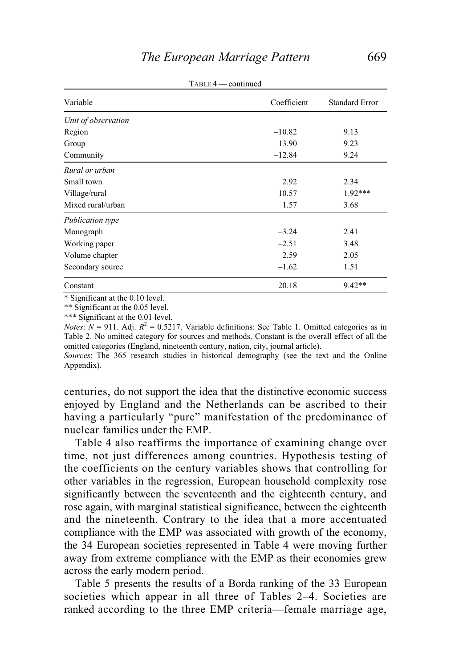| Variable            | Coefficient | <b>Standard Error</b> |
|---------------------|-------------|-----------------------|
| Unit of observation |             |                       |
| Region              | $-10.82$    | 9.13                  |
| Group               | $-13.90$    | 9.23                  |
| Community           | $-12.84$    | 9.24                  |
| Rural or urban      |             |                       |
| Small town          | 2.92        | 2.34                  |
| Village/rural       | 10.57       | $1.92***$             |
| Mixed rural/urban   | 1.57        | 3.68                  |
| Publication type    |             |                       |
| Monograph           | $-3.24$     | 2.41                  |
| Working paper       | $-2.51$     | 3.48                  |
| Volume chapter      | 2.59        | 2.05                  |
| Secondary source    | $-1.62$     | 1.51                  |
| Constant            | 20.18       | $9.42**$              |

 $T = 4$  — continued

\* Significant at the 0.10 level.

\*\* Significant at the 0.05 level.

\*\*\* Significant at the 0.01 level.

*Notes*:  $N = 911$ . Adj.  $R^2 = 0.5217$ . Variable definitions: See Table 1. Omitted categories as in Table 2. No omitted category for sources and methods. Constant is the overall effect of all the omitted categories (England, nineteenth century, nation, city, journal article).

*Sources*: The 365 research studies in historical demography (see the text and the Online Appendix).

centuries, do not support the idea that the distinctive economic success enjoyed by England and the Netherlands can be ascribed to their having a particularly "pure" manifestation of the predominance of nuclear families under the EMP.

 Table 4 also reaffirms the importance of examining change over time, not just differences among countries. Hypothesis testing of the coefficients on the century variables shows that controlling for other variables in the regression, European household complexity rose significantly between the seventeenth and the eighteenth century, and rose again, with marginal statistical significance, between the eighteenth and the nineteenth. Contrary to the idea that a more accentuated compliance with the EMP was associated with growth of the economy, the 34 European societies represented in Table 4 were moving further away from extreme compliance with the EMP as their economies grew across the early modern period.

 Table 5 presents the results of a Borda ranking of the 33 European societies which appear in all three of Tables 2–4. Societies are ranked according to the three EMP criteria—female marriage age,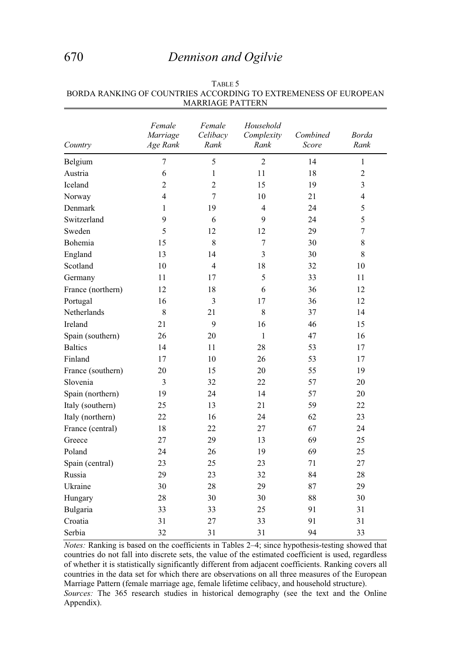# 670 *Dennison and Ogilvie*

| Country           | Female<br>Marriage<br>Age Rank | Female<br>Celibacy<br>Rank | Household<br>Complexity<br>Rank | Combined<br>Score | <b>Borda</b><br>Rank |
|-------------------|--------------------------------|----------------------------|---------------------------------|-------------------|----------------------|
| Belgium           | 7                              | 5                          | $\overline{2}$                  | 14                | $\mathbf{1}$         |
| Austria           | 6                              | $\mathbf{1}$               | 11                              | 18                | $\overline{2}$       |
| Iceland           | $\overline{c}$                 | $\overline{c}$             | 15                              | 19                | 3                    |
| Norway            | 4                              | 7                          | 10                              | 21                | $\overline{4}$       |
| Denmark           | 1                              | 19                         | 4                               | 24                | 5                    |
| Switzerland       | 9                              | 6                          | 9                               | 24                | 5                    |
| Sweden            | 5                              | 12                         | 12                              | 29                | 7                    |
| Bohemia           | 15                             | 8                          | $\tau$                          | 30                | 8                    |
| England           | 13                             | 14                         | 3                               | 30                | 8                    |
| Scotland          | 10                             | $\overline{4}$             | 18                              | 32                | 10                   |
| Germany           | 11                             | 17                         | 5                               | 33                | 11                   |
| France (northern) | 12                             | 18                         | 6                               | 36                | 12                   |
| Portugal          | 16                             | 3                          | 17                              | 36                | 12                   |
| Netherlands       | $\,8\,$                        | 21                         | 8                               | 37                | 14                   |
| Ireland           | 21                             | 9                          | 16                              | 46                | 15                   |
| Spain (southern)  | 26                             | 20                         | 1                               | 47                | 16                   |
| <b>Baltics</b>    | 14                             | 11                         | 28                              | 53                | 17                   |
| Finland           | 17                             | 10                         | 26                              | 53                | 17                   |
| France (southern) | 20                             | 15                         | 20                              | 55                | 19                   |
| Slovenia          | 3                              | 32                         | 22                              | 57                | 20                   |
| Spain (northern)  | 19                             | 24                         | 14                              | 57                | 20                   |
| Italy (southern)  | 25                             | 13                         | 21                              | 59                | 22                   |
| Italy (northern)  | 22                             | 16                         | 24                              | 62                | 23                   |
| France (central)  | 18                             | 22                         | 27                              | 67                | 24                   |
| Greece            | 27                             | 29                         | 13                              | 69                | 25                   |
| Poland            | 24                             | 26                         | 19                              | 69                | 25                   |
| Spain (central)   | 23                             | 25                         | 23                              | 71                | 27                   |
| Russia            | 29                             | 23                         | 32                              | 84                | 28                   |
| Ukraine           | 30                             | 28                         | 29                              | 87                | 29                   |
| Hungary           | 28                             | 30                         | 30                              | 88                | 30                   |
| Bulgaria          | 33                             | 33                         | 25                              | 91                | 31                   |
| Croatia           | 31                             | 27                         | 33                              | 91                | 31                   |
| Serbia            | 32                             | 31                         | 31                              | 94                | 33                   |

TABLE 5 BORDA RANKING OF COUNTRIES ACCORDING TO EXTREMENESS OF EUROPEAN MARRIAGE PATTERN

*Notes:* Ranking is based on the coefficients in Tables 2–4; since hypothesis-testing showed that countries do not fall into discrete sets, the value of the estimated coefficient is used, regardless of whether it is statistically significantly different from adjacent coefficients. Ranking covers all countries in the data set for which there are observations on all three measures of the European Marriage Pattern (female marriage age, female lifetime celibacy, and household structure). *Sources:* The 365 research studies in historical demography (see the text and the Online Appendix).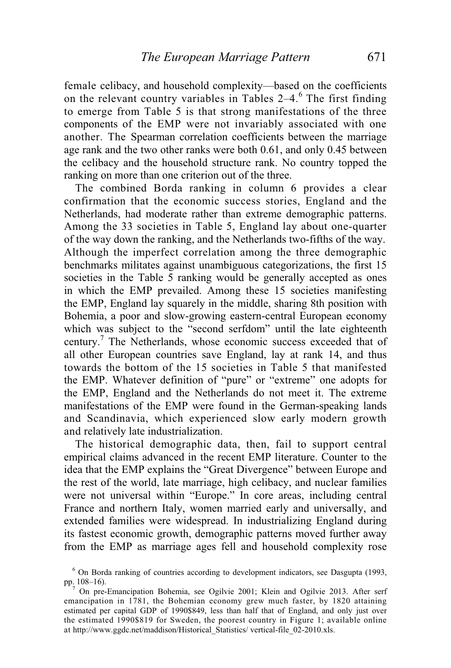female celibacy, and household complexity—based on the coefficients on the relevant country variables in Tables  $2-4$ .<sup>6</sup> The first finding to emerge from Table 5 is that strong manifestations of the three components of the EMP were not invariably associated with one another. The Spearman correlation coefficients between the marriage age rank and the two other ranks were both 0.61, and only 0.45 between the celibacy and the household structure rank. No country topped the ranking on more than one criterion out of the three.

 The combined Borda ranking in column 6 provides a clear confirmation that the economic success stories, England and the Netherlands, had moderate rather than extreme demographic patterns. Among the 33 societies in Table 5, England lay about one-quarter of the way down the ranking, and the Netherlands two-fifths of the way. Although the imperfect correlation among the three demographic benchmarks militates against unambiguous categorizations, the first 15 societies in the Table 5 ranking would be generally accepted as ones in which the EMP prevailed. Among these 15 societies manifesting the EMP, England lay squarely in the middle, sharing 8th position with Bohemia, a poor and slow-growing eastern-central European economy which was subject to the "second serfdom" until the late eighteenth century.<sup>7</sup> The Netherlands, whose economic success exceeded that of all other European countries save England, lay at rank 14, and thus towards the bottom of the 15 societies in Table 5 that manifested the EMP. Whatever definition of "pure" or "extreme" one adopts for the EMP, England and the Netherlands do not meet it. The extreme manifestations of the EMP were found in the German-speaking lands and Scandinavia, which experienced slow early modern growth and relatively late industrialization.

 The historical demographic data, then, fail to support central empirical claims advanced in the recent EMP literature. Counter to the idea that the EMP explains the "Great Divergence" between Europe and the rest of the world, late marriage, high celibacy, and nuclear families were not universal within "Europe." In core areas, including central France and northern Italy, women married early and universally, and extended families were widespread. In industrializing England during its fastest economic growth, demographic patterns moved further away from the EMP as marriage ages fell and household complexity rose

<sup>&</sup>lt;sup>6</sup> On Borda ranking of countries according to development indicators, see Dasgupta (1993, pp. 108–16).

 $^7$  On pre-Emancipation Bohemia, see Ogilvie 2001; Klein and Ogilvie 2013. After serf emancipation in 1781, the Bohemian economy grew much faster, by 1820 attaining estimated per capital GDP of 1990\$849, less than half that of England, and only just over the estimated 1990\$819 for Sweden, the poorest country in Figure 1; available online at http://www.ggdc.net/maddison/Historical\_Statistics/ vertical-file\_02-2010.xls.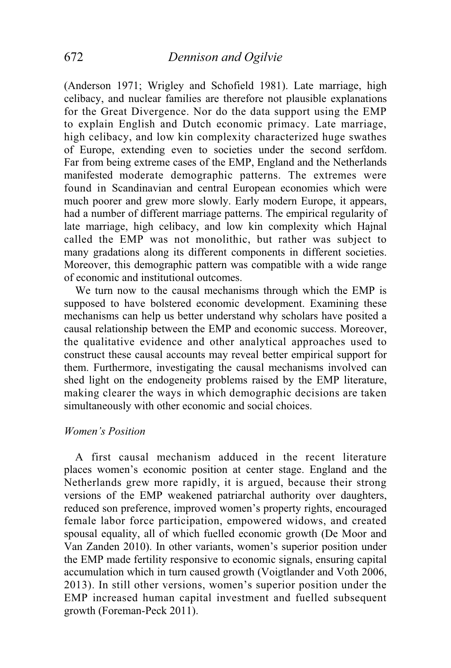(Anderson 1971; Wrigley and Schofield 1981). Late marriage, high celibacy, and nuclear families are therefore not plausible explanations for the Great Divergence. Nor do the data support using the EMP to explain English and Dutch economic primacy. Late marriage, high celibacy, and low kin complexity characterized huge swathes of Europe, extending even to societies under the second serfdom. Far from being extreme cases of the EMP, England and the Netherlands manifested moderate demographic patterns. The extremes were found in Scandinavian and central European economies which were much poorer and grew more slowly. Early modern Europe, it appears, had a number of different marriage patterns. The empirical regularity of late marriage, high celibacy, and low kin complexity which Hajnal called the EMP was not monolithic, but rather was subject to many gradations along its different components in different societies. Moreover, this demographic pattern was compatible with a wide range of economic and institutional outcomes.

 We turn now to the causal mechanisms through which the EMP is supposed to have bolstered economic development. Examining these mechanisms can help us better understand why scholars have posited a causal relationship between the EMP and economic success. Moreover, the qualitative evidence and other analytical approaches used to construct these causal accounts may reveal better empirical support for them. Furthermore, investigating the causal mechanisms involved can shed light on the endogeneity problems raised by the EMP literature, making clearer the ways in which demographic decisions are taken simultaneously with other economic and social choices.

### *Women's Position*

 A first causal mechanism adduced in the recent literature places women's economic position at center stage. England and the Netherlands grew more rapidly, it is argued, because their strong versions of the EMP weakened patriarchal authority over daughters, reduced son preference, improved women's property rights, encouraged female labor force participation, empowered widows, and created spousal equality, all of which fuelled economic growth (De Moor and Van Zanden 2010). In other variants, women's superior position under the EMP made fertility responsive to economic signals, ensuring capital accumulation which in turn caused growth (Voigtlander and Voth 2006, 2013). In still other versions, women's superior position under the EMP increased human capital investment and fuelled subsequent growth (Foreman-Peck 2011).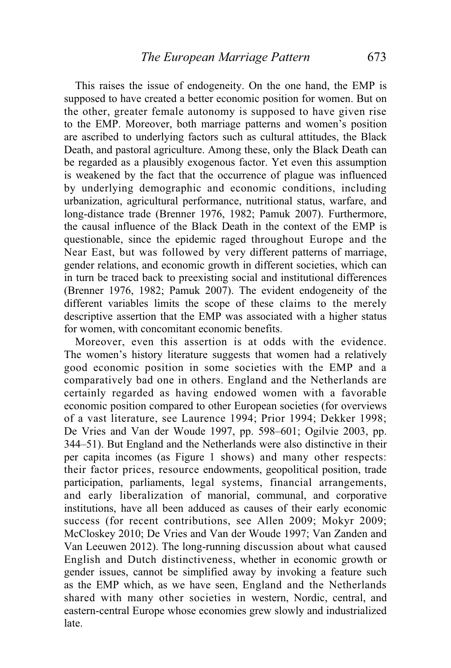This raises the issue of endogeneity. On the one hand, the EMP is supposed to have created a better economic position for women. But on the other, greater female autonomy is supposed to have given rise to the EMP. Moreover, both marriage patterns and women's position are ascribed to underlying factors such as cultural attitudes, the Black Death, and pastoral agriculture. Among these, only the Black Death can be regarded as a plausibly exogenous factor. Yet even this assumption is weakened by the fact that the occurrence of plague was influenced by underlying demographic and economic conditions, including urbanization, agricultural performance, nutritional status, warfare, and long-distance trade (Brenner 1976, 1982; Pamuk 2007). Furthermore, the causal influence of the Black Death in the context of the EMP is questionable, since the epidemic raged throughout Europe and the Near East, but was followed by very different patterns of marriage, gender relations, and economic growth in different societies, which can in turn be traced back to preexisting social and institutional differences (Brenner 1976, 1982; Pamuk 2007). The evident endogeneity of the different variables limits the scope of these claims to the merely descriptive assertion that the EMP was associated with a higher status for women, with concomitant economic benefits.

 Moreover, even this assertion is at odds with the evidence. The women's history literature suggests that women had a relatively good economic position in some societies with the EMP and a comparatively bad one in others. England and the Netherlands are certainly regarded as having endowed women with a favorable economic position compared to other European societies (for overviews of a vast literature, see Laurence 1994; Prior 1994; Dekker 1998; De Vries and Van der Woude 1997, pp. 598–601; Ogilvie 2003, pp. 344–51). But England and the Netherlands were also distinctive in their per capita incomes (as Figure 1 shows) and many other respects: their factor prices, resource endowments, geopolitical position, trade participation, parliaments, legal systems, financial arrangements, and early liberalization of manorial, communal, and corporative institutions, have all been adduced as causes of their early economic success (for recent contributions, see Allen 2009; Mokyr 2009; McCloskey 2010; De Vries and Van der Woude 1997; Van Zanden and Van Leeuwen 2012). The long-running discussion about what caused English and Dutch distinctiveness, whether in economic growth or gender issues, cannot be simplified away by invoking a feature such as the EMP which, as we have seen, England and the Netherlands shared with many other societies in western, Nordic, central, and eastern-central Europe whose economies grew slowly and industrialized late.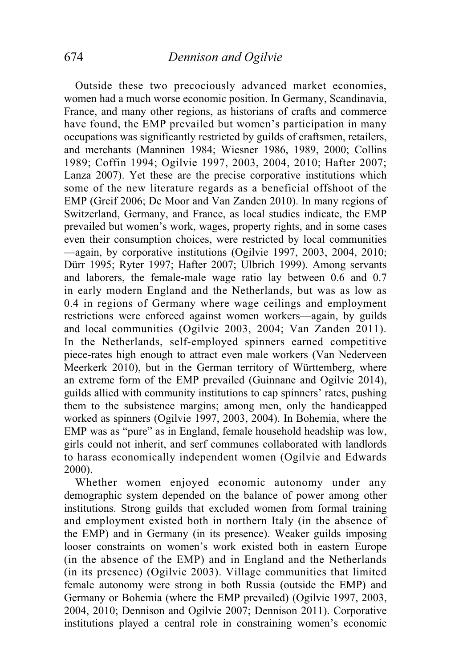Outside these two precociously advanced market economies, women had a much worse economic position. In Germany, Scandinavia, France, and many other regions, as historians of crafts and commerce have found, the EMP prevailed but women's participation in many occupations was significantly restricted by guilds of craftsmen, retailers, and merchants (Manninen 1984; Wiesner 1986, 1989, 2000; Collins 1989; Coffin 1994; Ogilvie 1997, 2003, 2004, 2010; Hafter 2007; Lanza 2007). Yet these are the precise corporative institutions which some of the new literature regards as a beneficial offshoot of the EMP (Greif 2006; De Moor and Van Zanden 2010). In many regions of Switzerland, Germany, and France, as local studies indicate, the EMP prevailed but women's work, wages, property rights, and in some cases even their consumption choices, were restricted by local communities —again, by corporative institutions (Ogilvie 1997, 2003, 2004, 2010; Dürr 1995; Ryter 1997; Hafter 2007; Ulbrich 1999). Among servants and laborers, the female-male wage ratio lay between 0.6 and 0.7 in early modern England and the Netherlands, but was as low as 0.4 in regions of Germany where wage ceilings and employment restrictions were enforced against women workers—again, by guilds and local communities (Ogilvie 2003, 2004; Van Zanden 2011). In the Netherlands, self-employed spinners earned competitive piece-rates high enough to attract even male workers (Van Nederveen Meerkerk 2010), but in the German territory of Württemberg, where an extreme form of the EMP prevailed (Guinnane and Ogilvie 2014), guilds allied with community institutions to cap spinners' rates, pushing them to the subsistence margins; among men, only the handicapped worked as spinners (Ogilvie 1997, 2003, 2004). In Bohemia, where the EMP was as "pure" as in England, female household headship was low, girls could not inherit, and serf communes collaborated with landlords to harass economically independent women (Ogilvie and Edwards 2000).

 Whether women enjoyed economic autonomy under any demographic system depended on the balance of power among other institutions. Strong guilds that excluded women from formal training and employment existed both in northern Italy (in the absence of the EMP) and in Germany (in its presence). Weaker guilds imposing looser constraints on women's work existed both in eastern Europe (in the absence of the EMP) and in England and the Netherlands (in its presence) (Ogilvie 2003). Village communities that limited female autonomy were strong in both Russia (outside the EMP) and Germany or Bohemia (where the EMP prevailed) (Ogilvie 1997, 2003, 2004, 2010; Dennison and Ogilvie 2007; Dennison 2011). Corporative institutions played a central role in constraining women's economic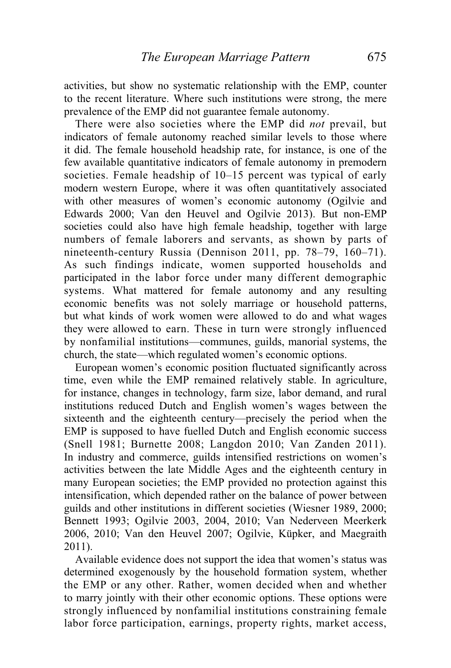activities, but show no systematic relationship with the EMP, counter to the recent literature. Where such institutions were strong, the mere prevalence of the EMP did not guarantee female autonomy.

 There were also societies where the EMP did *not* prevail, but indicators of female autonomy reached similar levels to those where it did. The female household headship rate, for instance, is one of the few available quantitative indicators of female autonomy in premodern societies. Female headship of 10–15 percent was typical of early modern western Europe, where it was often quantitatively associated with other measures of women's economic autonomy (Ogilvie and Edwards 2000; Van den Heuvel and Ogilvie 2013). But non-EMP societies could also have high female headship, together with large numbers of female laborers and servants, as shown by parts of nineteenth-century Russia (Dennison 2011, pp. 78–79, 160–71). As such findings indicate, women supported households and participated in the labor force under many different demographic systems. What mattered for female autonomy and any resulting economic benefits was not solely marriage or household patterns, but what kinds of work women were allowed to do and what wages they were allowed to earn. These in turn were strongly influenced by nonfamilial institutions—communes, guilds, manorial systems, the church, the state—which regulated women's economic options.

 European women's economic position fluctuated significantly across time, even while the EMP remained relatively stable. In agriculture, for instance, changes in technology, farm size, labor demand, and rural institutions reduced Dutch and English women's wages between the sixteenth and the eighteenth century—precisely the period when the EMP is supposed to have fuelled Dutch and English economic success (Snell 1981; Burnette 2008; Langdon 2010; Van Zanden 2011). In industry and commerce, guilds intensified restrictions on women's activities between the late Middle Ages and the eighteenth century in many European societies; the EMP provided no protection against this intensification, which depended rather on the balance of power between guilds and other institutions in different societies (Wiesner 1989, 2000; Bennett 1993; Ogilvie 2003, 2004, 2010; Van Nederveen Meerkerk 2006, 2010; Van den Heuvel 2007; Ogilvie, Küpker, and Maegraith 2011).

 Available evidence does not support the idea that women's status was determined exogenously by the household formation system, whether the EMP or any other. Rather, women decided when and whether to marry jointly with their other economic options. These options were strongly influenced by nonfamilial institutions constraining female labor force participation, earnings, property rights, market access,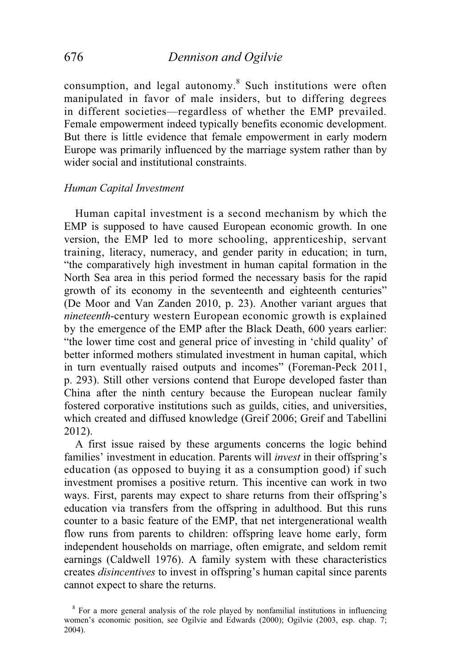consumption, and legal autonomy.<sup>8</sup> Such institutions were often manipulated in favor of male insiders, but to differing degrees in different societies—regardless of whether the EMP prevailed. Female empowerment indeed typically benefits economic development. But there is little evidence that female empowerment in early modern Europe was primarily influenced by the marriage system rather than by wider social and institutional constraints.

## *Human Capital Investment*

 Human capital investment is a second mechanism by which the EMP is supposed to have caused European economic growth. In one version, the EMP led to more schooling, apprenticeship, servant training, literacy, numeracy, and gender parity in education; in turn, "the comparatively high investment in human capital formation in the North Sea area in this period formed the necessary basis for the rapid growth of its economy in the seventeenth and eighteenth centuries" (De Moor and Van Zanden 2010, p. 23). Another variant argues that *nineteenth*-century western European economic growth is explained by the emergence of the EMP after the Black Death, 600 years earlier: "the lower time cost and general price of investing in 'child quality' of better informed mothers stimulated investment in human capital, which in turn eventually raised outputs and incomes" (Foreman-Peck 2011, p. 293). Still other versions contend that Europe developed faster than China after the ninth century because the European nuclear family fostered corporative institutions such as guilds, cities, and universities, which created and diffused knowledge (Greif 2006; Greif and Tabellini 2012).

 A first issue raised by these arguments concerns the logic behind families' investment in education. Parents will *invest* in their offspring's education (as opposed to buying it as a consumption good) if such investment promises a positive return. This incentive can work in two ways. First, parents may expect to share returns from their offspring's education via transfers from the offspring in adulthood. But this runs counter to a basic feature of the EMP, that net intergenerational wealth flow runs from parents to children: offspring leave home early, form independent households on marriage, often emigrate, and seldom remit earnings (Caldwell 1976). A family system with these characteristics creates *disincentives* to invest in offspring's human capital since parents cannot expect to share the returns.

<sup>&</sup>lt;sup>8</sup> For a more general analysis of the role played by nonfamilial institutions in influencing women's economic position, see Ogilvie and Edwards (2000); Ogilvie (2003, esp. chap. 7; 2004).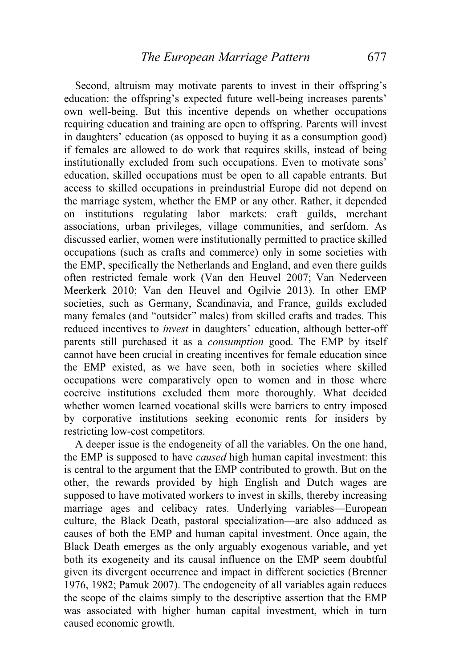Second, altruism may motivate parents to invest in their offspring's education: the offspring's expected future well-being increases parents' own well-being. But this incentive depends on whether occupations requiring education and training are open to offspring. Parents will invest in daughters' education (as opposed to buying it as a consumption good) if females are allowed to do work that requires skills, instead of being institutionally excluded from such occupations. Even to motivate sons' education, skilled occupations must be open to all capable entrants. But access to skilled occupations in preindustrial Europe did not depend on the marriage system, whether the EMP or any other. Rather, it depended on institutions regulating labor markets: craft guilds, merchant associations, urban privileges, village communities, and serfdom. As discussed earlier, women were institutionally permitted to practice skilled occupations (such as crafts and commerce) only in some societies with the EMP, specifically the Netherlands and England, and even there guilds often restricted female work (Van den Heuvel 2007; Van Nederveen Meerkerk 2010; Van den Heuvel and Ogilvie 2013). In other EMP societies, such as Germany, Scandinavia, and France, guilds excluded many females (and "outsider" males) from skilled crafts and trades. This reduced incentives to *invest* in daughters' education, although better-off parents still purchased it as a *consumption* good. The EMP by itself cannot have been crucial in creating incentives for female education since the EMP existed, as we have seen, both in societies where skilled occupations were comparatively open to women and in those where coercive institutions excluded them more thoroughly. What decided whether women learned vocational skills were barriers to entry imposed by corporative institutions seeking economic rents for insiders by restricting low-cost competitors.

 A deeper issue is the endogeneity of all the variables. On the one hand, the EMP is supposed to have *caused* high human capital investment: this is central to the argument that the EMP contributed to growth. But on the other, the rewards provided by high English and Dutch wages are supposed to have motivated workers to invest in skills, thereby increasing marriage ages and celibacy rates. Underlying variables—European culture, the Black Death, pastoral specialization—are also adduced as causes of both the EMP and human capital investment. Once again, the Black Death emerges as the only arguably exogenous variable, and yet both its exogeneity and its causal influence on the EMP seem doubtful given its divergent occurrence and impact in different societies (Brenner 1976, 1982; Pamuk 2007). The endogeneity of all variables again reduces the scope of the claims simply to the descriptive assertion that the EMP was associated with higher human capital investment, which in turn caused economic growth.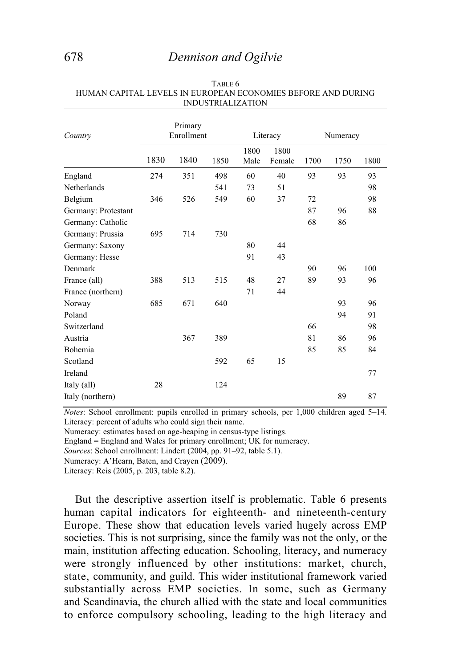# 678 *Dennison and Ogilvie*

| Country             |      | Primary<br>Enrollment |      |              | Literacy       |      | Numeracy |      |
|---------------------|------|-----------------------|------|--------------|----------------|------|----------|------|
|                     | 1830 | 1840                  | 1850 | 1800<br>Male | 1800<br>Female | 1700 | 1750     | 1800 |
| England             | 274  | 351                   | 498  | 60           | 40             | 93   | 93       | 93   |
| Netherlands         |      |                       | 541  | 73           | 51             |      |          | 98   |
| Belgium             | 346  | 526                   | 549  | 60           | 37             | 72   |          | 98   |
| Germany: Protestant |      |                       |      |              |                | 87   | 96       | 88   |
| Germany: Catholic   |      |                       |      |              |                | 68   | 86       |      |
| Germany: Prussia    | 695  | 714                   | 730  |              |                |      |          |      |
| Germany: Saxony     |      |                       |      | 80           | 44             |      |          |      |
| Germany: Hesse      |      |                       |      | 91           | 43             |      |          |      |
| Denmark             |      |                       |      |              |                | 90   | 96       | 100  |
| France (all)        | 388  | 513                   | 515  | 48           | 27             | 89   | 93       | 96   |
| France (northern)   |      |                       |      | 71           | 44             |      |          |      |
| Norway              | 685  | 671                   | 640  |              |                |      | 93       | 96   |
| Poland              |      |                       |      |              |                |      | 94       | 91   |
| Switzerland         |      |                       |      |              |                | 66   |          | 98   |
| Austria             |      | 367                   | 389  |              |                | 81   | 86       | 96   |
| Bohemia             |      |                       |      |              |                | 85   | 85       | 84   |
| Scotland            |      |                       | 592  | 65           | 15             |      |          |      |
| Ireland             |      |                       |      |              |                |      |          | 77   |
| Italy (all)         | 28   |                       | 124  |              |                |      |          |      |
| Italy (northern)    |      |                       |      |              |                |      | 89       | 87   |

#### TABLE 6 HUMAN CAPITAL LEVELS IN EUROPEAN ECONOMIES BEFORE AND DURING INDUSTRIALIZATION

*Notes*: School enrollment: pupils enrolled in primary schools, per 1,000 children aged 5–14. Literacy: percent of adults who could sign their name.

Numeracy: estimates based on age-heaping in census-type listings.

England = England and Wales for primary enrollment; UK for numeracy.

*Sources*: School enrollment: Lindert (2004, pp. 91–92, table 5.1).

Numeracy: A'Hearn, Baten, and Crayen (2009).

Literacy: Reis (2005, p. 203, table 8.2).

 But the descriptive assertion itself is problematic. Table 6 presents human capital indicators for eighteenth- and nineteenth-century Europe. These show that education levels varied hugely across EMP societies. This is not surprising, since the family was not the only, or the main, institution affecting education. Schooling, literacy, and numeracy were strongly influenced by other institutions: market, church, state, community, and guild. This wider institutional framework varied substantially across EMP societies. In some, such as Germany and Scandinavia, the church allied with the state and local communities to enforce compulsory schooling, leading to the high literacy and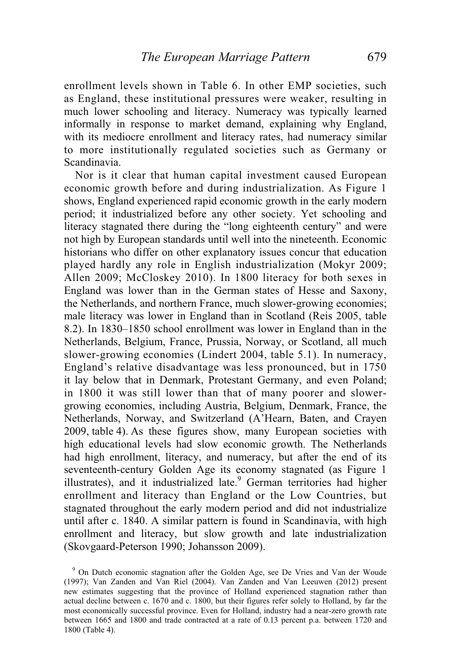enrollment levels shown in Table 6. In other EMP societies, such as England, these institutional pressures were weaker, resulting in much lower schooling and literacy. Numeracy was typically learned informally in response to market demand, explaining why England, with its mediocre enrollment and literacy rates, had numeracy similar to more institutionally regulated societies such as Germany or Scandinavia.

 Nor is it clear that human capital investment caused European economic growth before and during industrialization. As Figure 1 shows, England experienced rapid economic growth in the early modern period; it industrialized before any other society. Yet schooling and literacy stagnated there during the "long eighteenth century" and were not high by European standards until well into the nineteenth. Economic historians who differ on other explanatory issues concur that education played hardly any role in English industrialization (Mokyr 2009; Allen 2009; McCloskey 2010). In 1800 literacy for both sexes in England was lower than in the German states of Hesse and Saxony, the Netherlands, and northern France, much slower-growing economies; male literacy was lower in England than in Scotland (Reis 2005, table 8.2). In 1830–1850 school enrollment was lower in England than in the Netherlands, Belgium, France, Prussia, Norway, or Scotland, all much slower-growing economies (Lindert 2004, table 5.1). In numeracy, England's relative disadvantage was less pronounced, but in 1750 it lay below that in Denmark, Protestant Germany, and even Poland; in 1800 it was still lower than that of many poorer and slowergrowing economies, including Austria, Belgium, Denmark, France, the Netherlands, Norway, and Switzerland (A'Hearn, Baten, and Crayen 2009, table 4). As these figures show, many European societies with high educational levels had slow economic growth. The Netherlands had high enrollment, literacy, and numeracy, but after the end of its seventeenth-century Golden Age its economy stagnated (as Figure 1 illustrates), and it industrialized late.<sup>9</sup> German territories had higher enrollment and literacy than England or the Low Countries, but stagnated throughout the early modern period and did not industrialize until after c. 1840. A similar pattern is found in Scandinavia, with high enrollment and literacy, but slow growth and late industrialization (Skovgaard-Peterson 1990; Johansson 2009).

<sup>&</sup>lt;sup>9</sup> On Dutch economic stagnation after the Golden Age, see De Vries and Van der Woude (1997); Van Zanden and Van Riel (2004). Van Zanden and Van Leeuwen (2012) present new estimates suggesting that the province of Holland experienced stagnation rather than actual decline between c. 1670 and c. 1800, but their figures refer solely to Holland, by far the most economically successful province. Even for Holland, industry had a near-zero growth rate between 1665 and 1800 and trade contracted at a rate of 0.13 percent p.a. between 1720 and 1800 (Table 4).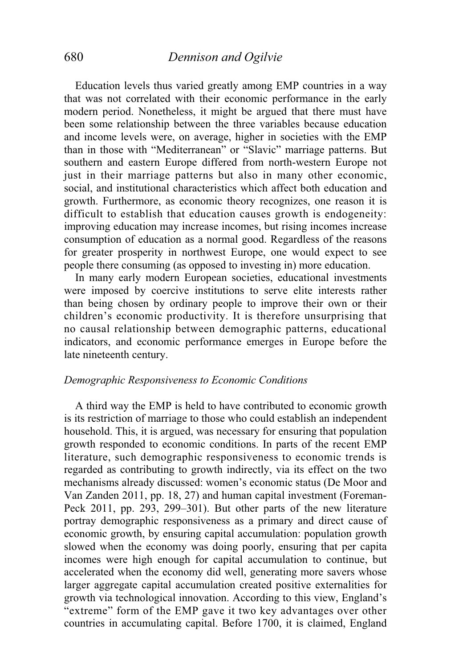Education levels thus varied greatly among EMP countries in a way that was not correlated with their economic performance in the early modern period. Nonetheless, it might be argued that there must have been some relationship between the three variables because education and income levels were, on average, higher in societies with the EMP than in those with "Mediterranean" or "Slavic" marriage patterns. But southern and eastern Europe differed from north-western Europe not just in their marriage patterns but also in many other economic, social, and institutional characteristics which affect both education and growth. Furthermore, as economic theory recognizes, one reason it is difficult to establish that education causes growth is endogeneity: improving education may increase incomes, but rising incomes increase consumption of education as a normal good. Regardless of the reasons for greater prosperity in northwest Europe, one would expect to see people there consuming (as opposed to investing in) more education.

 In many early modern European societies, educational investments were imposed by coercive institutions to serve elite interests rather than being chosen by ordinary people to improve their own or their children's economic productivity. It is therefore unsurprising that no causal relationship between demographic patterns, educational indicators, and economic performance emerges in Europe before the late nineteenth century.

### *Demographic Responsiveness to Economic Conditions*

 A third way the EMP is held to have contributed to economic growth is its restriction of marriage to those who could establish an independent household. This, it is argued, was necessary for ensuring that population growth responded to economic conditions. In parts of the recent EMP literature, such demographic responsiveness to economic trends is regarded as contributing to growth indirectly, via its effect on the two mechanisms already discussed: women's economic status (De Moor and Van Zanden 2011, pp. 18, 27) and human capital investment (Foreman-Peck 2011, pp. 293, 299–301). But other parts of the new literature portray demographic responsiveness as a primary and direct cause of economic growth, by ensuring capital accumulation: population growth slowed when the economy was doing poorly, ensuring that per capita incomes were high enough for capital accumulation to continue, but accelerated when the economy did well, generating more savers whose larger aggregate capital accumulation created positive externalities for growth via technological innovation. According to this view, England's "extreme" form of the EMP gave it two key advantages over other countries in accumulating capital. Before 1700, it is claimed, England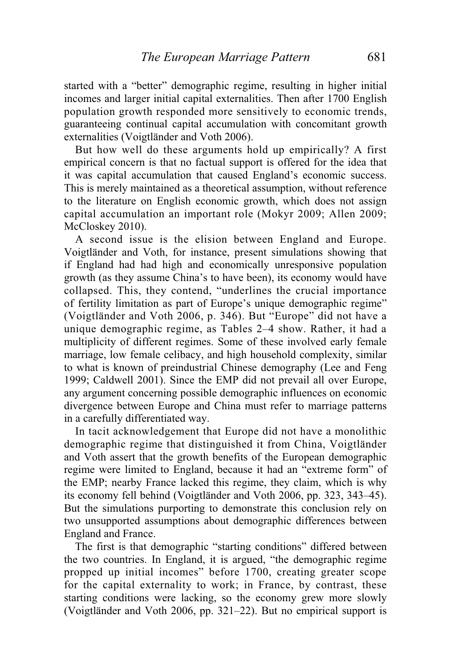started with a "better" demographic regime, resulting in higher initial incomes and larger initial capital externalities. Then after 1700 English population growth responded more sensitively to economic trends, guaranteeing continual capital accumulation with concomitant growth externalities (Voigtländer and Voth 2006).

 But how well do these arguments hold up empirically? A first empirical concern is that no factual support is offered for the idea that it was capital accumulation that caused England's economic success. This is merely maintained as a theoretical assumption, without reference to the literature on English economic growth, which does not assign capital accumulation an important role (Mokyr 2009; Allen 2009; McCloskey 2010).

 A second issue is the elision between England and Europe. Voigtländer and Voth, for instance, present simulations showing that if England had had high and economically unresponsive population growth (as they assume China's to have been), its economy would have collapsed. This, they contend, "underlines the crucial importance of fertility limitation as part of Europe's unique demographic regime" (Voigtländer and Voth 2006, p. 346). But "Europe" did not have a unique demographic regime, as Tables 2–4 show. Rather, it had a multiplicity of different regimes. Some of these involved early female marriage, low female celibacy, and high household complexity, similar to what is known of preindustrial Chinese demography (Lee and Feng 1999; Caldwell 2001). Since the EMP did not prevail all over Europe, any argument concerning possible demographic influences on economic divergence between Europe and China must refer to marriage patterns in a carefully differentiated way.

 In tacit acknowledgement that Europe did not have a monolithic demographic regime that distinguished it from China, Voigtländer and Voth assert that the growth benefits of the European demographic regime were limited to England, because it had an "extreme form" of the EMP; nearby France lacked this regime, they claim, which is why its economy fell behind (Voigtländer and Voth 2006, pp. 323, 343–45). But the simulations purporting to demonstrate this conclusion rely on two unsupported assumptions about demographic differences between England and France.

 The first is that demographic "starting conditions" differed between the two countries. In England, it is argued, "the demographic regime propped up initial incomes" before 1700, creating greater scope for the capital externality to work; in France, by contrast, these starting conditions were lacking, so the economy grew more slowly (Voigtländer and Voth 2006, pp. 321–22). But no empirical support is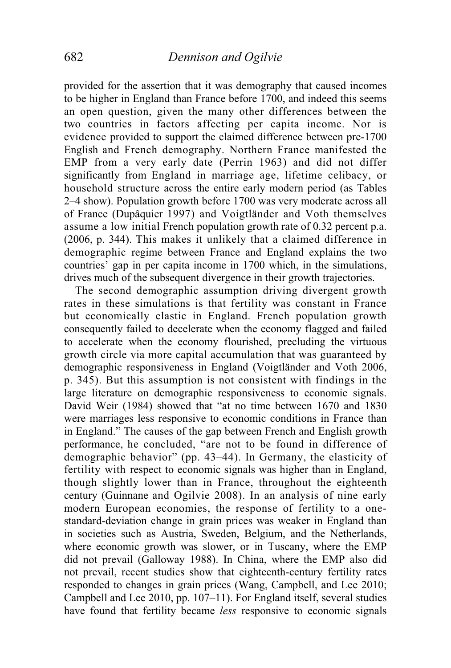provided for the assertion that it was demography that caused incomes to be higher in England than France before 1700, and indeed this seems an open question, given the many other differences between the two countries in factors affecting per capita income. Nor is evidence provided to support the claimed difference between pre-1700 English and French demography. Northern France manifested the EMP from a very early date (Perrin 1963) and did not differ significantly from England in marriage age, lifetime celibacy, or household structure across the entire early modern period (as Tables 2–4 show). Population growth before 1700 was very moderate across all of France (Dupâquier 1997) and Voigtländer and Voth themselves assume a low initial French population growth rate of 0.32 percent p.a. (2006, p. 344). This makes it unlikely that a claimed difference in demographic regime between France and England explains the two countries' gap in per capita income in 1700 which, in the simulations, drives much of the subsequent divergence in their growth trajectories.

 The second demographic assumption driving divergent growth rates in these simulations is that fertility was constant in France but economically elastic in England. French population growth consequently failed to decelerate when the economy flagged and failed to accelerate when the economy flourished, precluding the virtuous growth circle via more capital accumulation that was guaranteed by demographic responsiveness in England (Voigtländer and Voth 2006, p. 345). But this assumption is not consistent with findings in the large literature on demographic responsiveness to economic signals. David Weir (1984) showed that "at no time between 1670 and 1830 were marriages less responsive to economic conditions in France than in England." The causes of the gap between French and English growth performance, he concluded, "are not to be found in difference of demographic behavior" (pp. 43–44). In Germany, the elasticity of fertility with respect to economic signals was higher than in England, though slightly lower than in France, throughout the eighteenth century (Guinnane and Ogilvie 2008). In an analysis of nine early modern European economies, the response of fertility to a onestandard-deviation change in grain prices was weaker in England than in societies such as Austria, Sweden, Belgium, and the Netherlands, where economic growth was slower, or in Tuscany, where the EMP did not prevail (Galloway 1988). In China, where the EMP also did not prevail, recent studies show that eighteenth-century fertility rates responded to changes in grain prices (Wang, Campbell, and Lee 2010; Campbell and Lee 2010, pp. 107–11). For England itself, several studies have found that fertility became *less* responsive to economic signals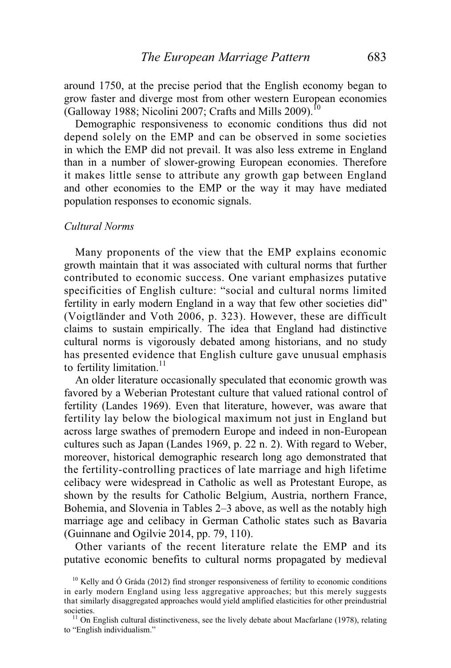around 1750, at the precise period that the English economy began to grow faster and diverge most from other western European economies (Galloway 1988; Nicolini 2007; Crafts and Mills 2009).<sup>10</sup>

 Demographic responsiveness to economic conditions thus did not depend solely on the EMP and can be observed in some societies in which the EMP did not prevail. It was also less extreme in England than in a number of slower-growing European economies. Therefore it makes little sense to attribute any growth gap between England and other economies to the EMP or the way it may have mediated population responses to economic signals.

## *Cultural Norms*

 Many proponents of the view that the EMP explains economic growth maintain that it was associated with cultural norms that further contributed to economic success. One variant emphasizes putative specificities of English culture: "social and cultural norms limited fertility in early modern England in a way that few other societies did" (Voigtländer and Voth 2006, p. 323). However, these are difficult claims to sustain empirically. The idea that England had distinctive cultural norms is vigorously debated among historians, and no study has presented evidence that English culture gave unusual emphasis to fertility limitation. $11$ 

 An older literature occasionally speculated that economic growth was favored by a Weberian Protestant culture that valued rational control of fertility (Landes 1969). Even that literature, however, was aware that fertility lay below the biological maximum not just in England but across large swathes of premodern Europe and indeed in non-European cultures such as Japan (Landes 1969, p. 22 n. 2). With regard to Weber, moreover, historical demographic research long ago demonstrated that the fertility-controlling practices of late marriage and high lifetime celibacy were widespread in Catholic as well as Protestant Europe, as shown by the results for Catholic Belgium, Austria, northern France, Bohemia, and Slovenia in Tables 2–3 above, as well as the notably high marriage age and celibacy in German Catholic states such as Bavaria (Guinnane and Ogilvie 2014, pp. 79, 110).

 Other variants of the recent literature relate the EMP and its putative economic benefits to cultural norms propagated by medieval

<sup>&</sup>lt;sup>10</sup> Kelly and  $\acute{O}$  Gráda (2012) find stronger responsiveness of fertility to economic conditions in early modern England using less aggregative approaches; but this merely suggests that similarly disaggregated approaches would yield amplified elasticities for other preindustrial societies.<br><sup>11</sup> On English cultural distinctiveness, see the lively debate about Macfarlane (1978), relating

to "English individualism."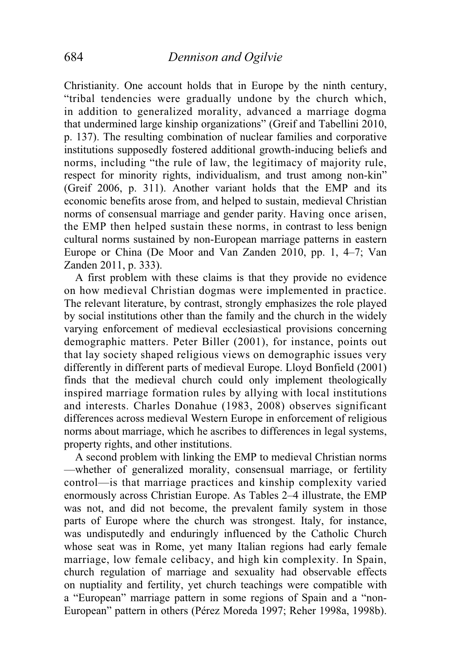Christianity. One account holds that in Europe by the ninth century, "tribal tendencies were gradually undone by the church which, in addition to generalized morality, advanced a marriage dogma that undermined large kinship organizations" (Greif and Tabellini 2010, p. 137). The resulting combination of nuclear families and corporative institutions supposedly fostered additional growth-inducing beliefs and norms, including "the rule of law, the legitimacy of majority rule, respect for minority rights, individualism, and trust among non-kin" (Greif 2006, p. 311). Another variant holds that the EMP and its economic benefits arose from, and helped to sustain, medieval Christian norms of consensual marriage and gender parity. Having once arisen, the EMP then helped sustain these norms, in contrast to less benign cultural norms sustained by non-European marriage patterns in eastern Europe or China (De Moor and Van Zanden 2010, pp. 1, 4–7; Van Zanden 2011, p. 333).

 A first problem with these claims is that they provide no evidence on how medieval Christian dogmas were implemented in practice. The relevant literature, by contrast, strongly emphasizes the role played by social institutions other than the family and the church in the widely varying enforcement of medieval ecclesiastical provisions concerning demographic matters. Peter Biller (2001), for instance, points out that lay society shaped religious views on demographic issues very differently in different parts of medieval Europe. Lloyd Bonfield (2001) finds that the medieval church could only implement theologically inspired marriage formation rules by allying with local institutions and interests. Charles Donahue (1983, 2008) observes significant differences across medieval Western Europe in enforcement of religious norms about marriage, which he ascribes to differences in legal systems, property rights, and other institutions.

 A second problem with linking the EMP to medieval Christian norms —whether of generalized morality, consensual marriage, or fertility control—is that marriage practices and kinship complexity varied enormously across Christian Europe. As Tables 2–4 illustrate, the EMP was not, and did not become, the prevalent family system in those parts of Europe where the church was strongest. Italy, for instance, was undisputedly and enduringly influenced by the Catholic Church whose seat was in Rome, yet many Italian regions had early female marriage, low female celibacy, and high kin complexity. In Spain, church regulation of marriage and sexuality had observable effects on nuptiality and fertility, yet church teachings were compatible with a "European" marriage pattern in some regions of Spain and a "non-European" pattern in others (Pérez Moreda 1997; Reher 1998a, 1998b).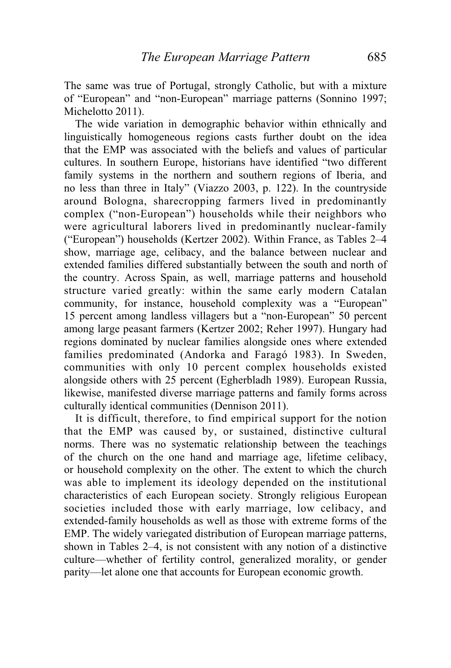The same was true of Portugal, strongly Catholic, but with a mixture of "European" and "non-European" marriage patterns (Sonnino 1997; Michelotto 2011).

 The wide variation in demographic behavior within ethnically and linguistically homogeneous regions casts further doubt on the idea that the EMP was associated with the beliefs and values of particular cultures. In southern Europe, historians have identified "two different family systems in the northern and southern regions of Iberia, and no less than three in Italy" (Viazzo 2003, p. 122). In the countryside around Bologna, sharecropping farmers lived in predominantly complex ("non-European") households while their neighbors who were agricultural laborers lived in predominantly nuclear-family ("European") households (Kertzer 2002). Within France, as Tables 2–4 show, marriage age, celibacy, and the balance between nuclear and extended families differed substantially between the south and north of the country. Across Spain, as well, marriage patterns and household structure varied greatly: within the same early modern Catalan community, for instance, household complexity was a "European" 15 percent among landless villagers but a "non-European" 50 percent among large peasant farmers (Kertzer 2002; Reher 1997). Hungary had regions dominated by nuclear families alongside ones where extended families predominated (Andorka and Faragó 1983). In Sweden, communities with only 10 percent complex households existed alongside others with 25 percent (Egherbladh 1989). European Russia, likewise, manifested diverse marriage patterns and family forms across culturally identical communities (Dennison 2011).

 It is difficult, therefore, to find empirical support for the notion that the EMP was caused by, or sustained, distinctive cultural norms. There was no systematic relationship between the teachings of the church on the one hand and marriage age, lifetime celibacy, or household complexity on the other. The extent to which the church was able to implement its ideology depended on the institutional characteristics of each European society. Strongly religious European societies included those with early marriage, low celibacy, and extended-family households as well as those with extreme forms of the EMP. The widely variegated distribution of European marriage patterns, shown in Tables 2–4, is not consistent with any notion of a distinctive culture—whether of fertility control, generalized morality, or gender parity—let alone one that accounts for European economic growth.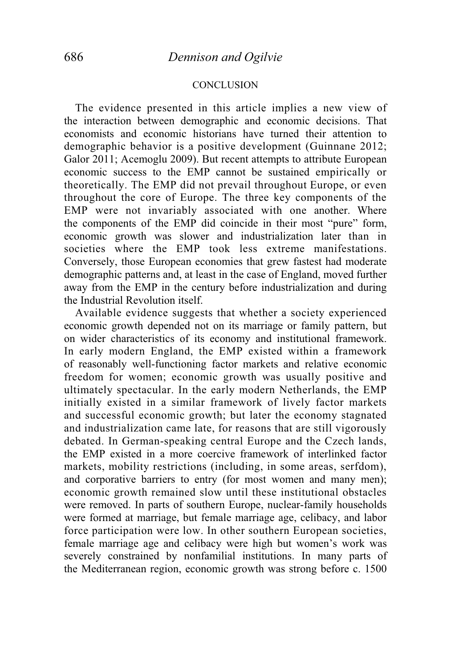### **CONCLUSION**

 The evidence presented in this article implies a new view of the interaction between demographic and economic decisions. That economists and economic historians have turned their attention to demographic behavior is a positive development (Guinnane 2012; Galor 2011; Acemoglu 2009). But recent attempts to attribute European economic success to the EMP cannot be sustained empirically or theoretically. The EMP did not prevail throughout Europe, or even throughout the core of Europe. The three key components of the EMP were not invariably associated with one another. Where the components of the EMP did coincide in their most "pure" form, economic growth was slower and industrialization later than in societies where the EMP took less extreme manifestations. Conversely, those European economies that grew fastest had moderate demographic patterns and, at least in the case of England, moved further away from the EMP in the century before industrialization and during the Industrial Revolution itself.

 Available evidence suggests that whether a society experienced economic growth depended not on its marriage or family pattern, but on wider characteristics of its economy and institutional framework. In early modern England, the EMP existed within a framework of reasonably well-functioning factor markets and relative economic freedom for women; economic growth was usually positive and ultimately spectacular. In the early modern Netherlands, the EMP initially existed in a similar framework of lively factor markets and successful economic growth; but later the economy stagnated and industrialization came late, for reasons that are still vigorously debated. In German-speaking central Europe and the Czech lands, the EMP existed in a more coercive framework of interlinked factor markets, mobility restrictions (including, in some areas, serfdom), and corporative barriers to entry (for most women and many men); economic growth remained slow until these institutional obstacles were removed. In parts of southern Europe, nuclear-family households were formed at marriage, but female marriage age, celibacy, and labor force participation were low. In other southern European societies, female marriage age and celibacy were high but women's work was severely constrained by nonfamilial institutions. In many parts of the Mediterranean region, economic growth was strong before c. 1500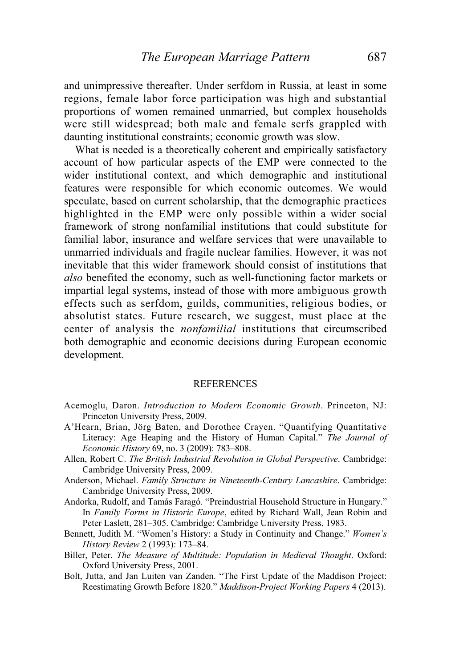and unimpressive thereafter. Under serfdom in Russia, at least in some regions, female labor force participation was high and substantial proportions of women remained unmarried, but complex households were still widespread; both male and female serfs grappled with daunting institutional constraints; economic growth was slow.

 What is needed is a theoretically coherent and empirically satisfactory account of how particular aspects of the EMP were connected to the wider institutional context, and which demographic and institutional features were responsible for which economic outcomes. We would speculate, based on current scholarship, that the demographic practices highlighted in the EMP were only possible within a wider social framework of strong nonfamilial institutions that could substitute for familial labor, insurance and welfare services that were unavailable to unmarried individuals and fragile nuclear families. However, it was not inevitable that this wider framework should consist of institutions that *also* benefited the economy, such as well-functioning factor markets or impartial legal systems, instead of those with more ambiguous growth effects such as serfdom, guilds, communities, religious bodies, or absolutist states. Future research, we suggest, must place at the center of analysis the *nonfamilial* institutions that circumscribed both demographic and economic decisions during European economic development.

### **REFERENCES**

- Acemoglu, Daron. *Introduction to Modern Economic Growth*. Princeton, NJ: Princeton University Press, 2009.
- A'Hearn, Brian, Jörg Baten, and Dorothee Crayen. "Quantifying Quantitative Literacy: Age Heaping and the History of Human Capital." *The Journal of Economic History* 69, no. 3 (2009): 783–808.
- Allen, Robert C. *The British Industrial Revolution in Global Perspective*. Cambridge: Cambridge University Press, 2009.
- Anderson, Michael. *Family Structure in Nineteenth-Century Lancashire*. Cambridge: Cambridge University Press, 2009.
- Andorka, Rudolf, and Tamás Faragó. "Preindustrial Household Structure in Hungary." In *Family Forms in Historic Europe*, edited by Richard Wall, Jean Robin and Peter Laslett, 281–305. Cambridge: Cambridge University Press, 1983.
- Bennett, Judith M. "Women's History: a Study in Continuity and Change." *Women's History Review* 2 (1993): 173–84.
- Biller, Peter. *The Measure of Multitude: Population in Medieval Thought*. Oxford: Oxford University Press, 2001.
- Bolt, Jutta, and Jan Luiten van Zanden. "The First Update of the Maddison Project: Reestimating Growth Before 1820." *Maddison-Project Working Papers* 4 (2013).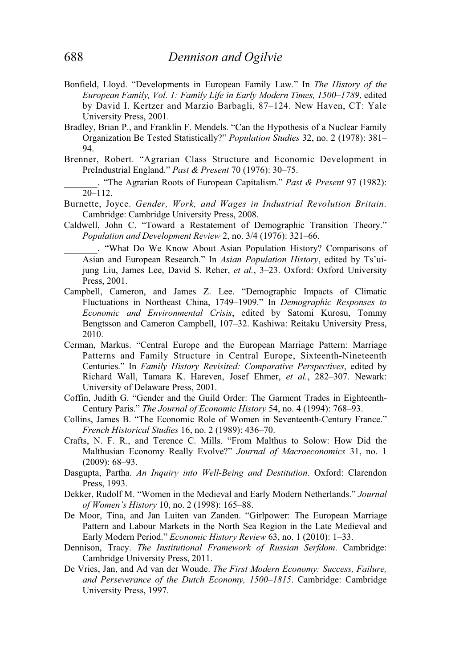- Bonfield, Lloyd. "Developments in European Family Law." In *The History of the European Family, Vol. 1: Family Life in Early Modern Times, 1500*–*1789*, edited by David I. Kertzer and Marzio Barbagli, 87–124. New Haven, CT: Yale University Press, 2001.
- Bradley, Brian P., and Franklin F. Mendels. "Can the Hypothesis of a Nuclear Family Organization Be Tested Statistically?" *Population Studies* 32, no. 2 (1978): 381– 94.
- Brenner, Robert. "Agrarian Class Structure and Economic Development in PreIndustrial England." *Past & Present* 70 (1976): 30–75.
- \_\_\_\_\_\_. "The Agrarian Roots of European Capitalism." *Past & Present* 97 (1982): 20–112.
- Burnette, Joyce. *Gender, Work, and Wages in Industrial Revolution Britain*. Cambridge: Cambridge University Press, 2008.
- Caldwell, John C. "Toward a Restatement of Demographic Transition Theory." *Population and Development Review* 2, no. 3/4 (1976): 321–66.
	- \_\_\_\_\_\_. "What Do We Know About Asian Population History? Comparisons of Asian and European Research." In *Asian Population History*, edited by Ts'uijung Liu, James Lee, David S. Reher, *et al.*, 3–23. Oxford: Oxford University Press, 2001.
- Campbell, Cameron, and James Z. Lee. "Demographic Impacts of Climatic Fluctuations in Northeast China, 1749–1909." In *Demographic Responses to Economic and Environmental Crisis*, edited by Satomi Kurosu, Tommy Bengtsson and Cameron Campbell, 107–32. Kashiwa: Reitaku University Press, 2010.
- Cerman, Markus. "Central Europe and the European Marriage Pattern: Marriage Patterns and Family Structure in Central Europe, Sixteenth-Nineteenth Centuries." In *Family History Revisited: Comparative Perspectives*, edited by Richard Wall, Tamara K. Hareven, Josef Ehmer, *et al.*, 282–307. Newark: University of Delaware Press, 2001.
- Coffin, Judith G. "Gender and the Guild Order: The Garment Trades in Eighteenth-Century Paris." *The Journal of Economic History* 54, no. 4 (1994): 768–93.
- Collins, James B. "The Economic Role of Women in Seventeenth-Century France." *French Historical Studies* 16, no. 2 (1989): 436–70.
- Crafts, N. F. R., and Terence C. Mills. "From Malthus to Solow: How Did the Malthusian Economy Really Evolve?" *Journal of Macroeconomics* 31, no. 1 (2009): 68–93.
- Dasgupta, Partha. *An Inquiry into Well-Being and Destitution*. Oxford: Clarendon Press, 1993.
- Dekker, Rudolf M. "Women in the Medieval and Early Modern Netherlands." *Journal of Women's History* 10, no. 2 (1998): 165–88.
- De Moor, Tina, and Jan Luiten van Zanden. "Girlpower: The European Marriage Pattern and Labour Markets in the North Sea Region in the Late Medieval and Early Modern Period." *Economic History Review* 63, no. 1 (2010): 1–33.
- Dennison, Tracy. *The Institutional Framework of Russian Serfdom*. Cambridge: Cambridge University Press, 2011.
- De Vries, Jan, and Ad van der Woude. *The First Modern Economy: Success, Failure, and Perseverance of the Dutch Economy, 1500*–*1815*. Cambridge: Cambridge University Press, 1997.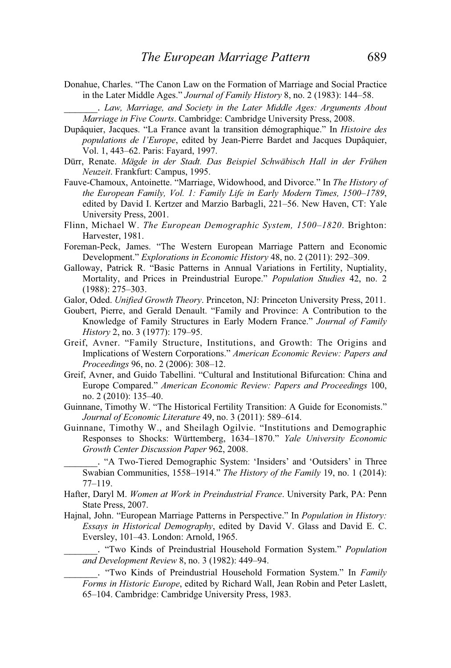Donahue, Charles. "The Canon Law on the Formation of Marriage and Social Practice in the Later Middle Ages." *Journal of Family History* 8, no. 2 (1983): 144–58.

\_\_\_\_\_\_. *Law, Marriage, and Society in the Later Middle Ages: Arguments About Marriage in Five Courts*. Cambridge: Cambridge University Press, 2008.

- Dupâquier, Jacques. "La France avant la transition démographique." In *Histoire des populations de l'Europe*, edited by Jean-Pierre Bardet and Jacques Dupâquier, Vol. 1, 443–62. Paris: Fayard, 1997.
- Dürr, Renate. *Mägde in der Stadt. Das Beispiel Schwäbisch Hall in der Frühen Neuzeit*. Frankfurt: Campus, 1995.
- Fauve-Chamoux, Antoinette. "Marriage, Widowhood, and Divorce." In *The History of the European Family, Vol. 1: Family Life in Early Modern Times, 1500*–*1789*, edited by David I. Kertzer and Marzio Barbagli, 221–56. New Haven, CT: Yale University Press, 2001.
- Flinn, Michael W. *The European Demographic System, 1500*–*1820*. Brighton: Harvester, 1981.
- Foreman-Peck, James. "The Western European Marriage Pattern and Economic Development." *Explorations in Economic History* 48, no. 2 (2011): 292–309.
- Galloway, Patrick R. "Basic Patterns in Annual Variations in Fertility, Nuptiality, Mortality, and Prices in Preindustrial Europe." *Population Studies* 42, no. 2 (1988): 275–303.
- Galor, Oded. *Unified Growth Theory*. Princeton, NJ: Princeton University Press, 2011.
- Goubert, Pierre, and Gerald Denault. "Family and Province: A Contribution to the Knowledge of Family Structures in Early Modern France." *Journal of Family History* 2, no. 3 (1977): 179–95.
- Greif, Avner. "Family Structure, Institutions, and Growth: The Origins and Implications of Western Corporations." *American Economic Review: Papers and Proceedings* 96, no. 2 (2006): 308–12.
- Greif, Avner, and Guido Tabellini. "Cultural and Institutional Bifurcation: China and Europe Compared." *American Economic Review: Papers and Proceedings* 100, no. 2 (2010): 135–40.
- Guinnane, Timothy W. "The Historical Fertility Transition: A Guide for Economists." *Journal of Economic Literature* 49, no. 3 (2011): 589–614.
- Guinnane, Timothy W., and Sheilagh Ogilvie. "Institutions and Demographic Responses to Shocks: Württemberg, 1634–1870." *Yale University Economic Growth Center Discussion Paper* 962, 2008.
	- \_\_\_\_\_\_. "A Two-Tiered Demographic System: 'Insiders' and 'Outsiders' in Three Swabian Communities, 1558–1914." *The History of the Family* 19, no. 1 (2014): 77–119.
- Hafter, Daryl M. *Women at Work in Preindustrial France*. University Park, PA: Penn State Press, 2007.
- Hajnal, John. "European Marriage Patterns in Perspective." In *Population in History: Essays in Historical Demography*, edited by David V. Glass and David E. C. Eversley, 101–43. London: Arnold, 1965.

\_\_\_\_\_\_. "Two Kinds of Preindustrial Household Formation System." *Population and Development Review* 8, no. 3 (1982): 449–94.

\_\_\_\_\_\_. "Two Kinds of Preindustrial Household Formation System." In *Family Forms in Historic Europe*, edited by Richard Wall, Jean Robin and Peter Laslett, 65–104. Cambridge: Cambridge University Press, 1983.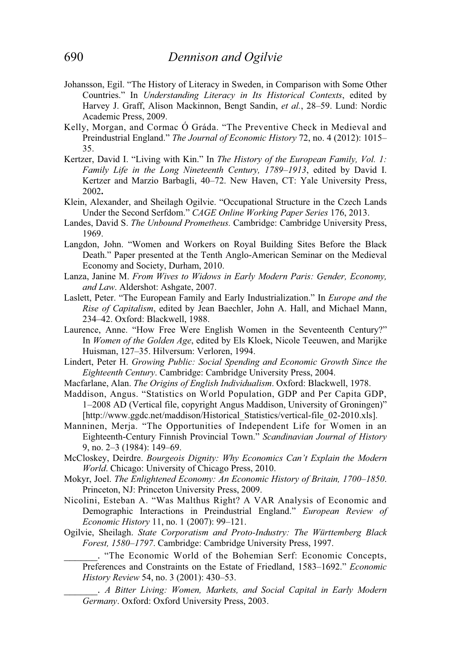- Johansson, Egil. "The History of Literacy in Sweden, in Comparison with Some Other Countries." In *Understanding Literacy in Its Historical Contexts*, edited by Harvey J. Graff, Alison Mackinnon, Bengt Sandin, *et al.*, 28–59. Lund: Nordic Academic Press, 2009.
- Kelly, Morgan, and Cormac Ó Gráda. "The Preventive Check in Medieval and Preindustrial England." *The Journal of Economic History* 72, no. 4 (2012): 1015– 35.
- Kertzer, David I. "Living with Kin." In *The History of the European Family, Vol. 1: Family Life in the Long Nineteenth Century, 1789*–*1913*, edited by David I. Kertzer and Marzio Barbagli, 40–72. New Haven, CT: Yale University Press, 2002**.**
- Klein, Alexander, and Sheilagh Ogilvie. "Occupational Structure in the Czech Lands Under the Second Serfdom." *CAGE Online Working Paper Series* 176, 2013.
- Landes, David S. *The Unbound Prometheus.* Cambridge: Cambridge University Press, 1969.
- Langdon, John. "Women and Workers on Royal Building Sites Before the Black Death." Paper presented at the Tenth Anglo-American Seminar on the Medieval Economy and Society, Durham, 2010.
- Lanza, Janine M. *From Wives to Widows in Early Modern Paris: Gender, Economy, and Law*. Aldershot: Ashgate, 2007.
- Laslett, Peter. "The European Family and Early Industrialization." In *Europe and the Rise of Capitalism*, edited by Jean Baechler, John A. Hall, and Michael Mann, 234–42. Oxford: Blackwell, 1988.
- Laurence, Anne. "How Free Were English Women in the Seventeenth Century?" In *Women of the Golden Age*, edited by Els Kloek, Nicole Teeuwen, and Marijke Huisman, 127–35. Hilversum: Verloren, 1994.
- Lindert, Peter H. *Growing Public: Social Spending and Economic Growth Since the Eighteenth Century*. Cambridge: Cambridge University Press, 2004.
- Macfarlane, Alan. *The Origins of English Individualism*. Oxford: Blackwell, 1978.
- Maddison, Angus. "Statistics on World Population, GDP and Per Capita GDP, 1–2008 AD (Vertical file, copyright Angus Maddison, University of Groningen)" [http://www.ggdc.net/maddison/Historical Statistics/vertical-file 02-2010.xls].
- Manninen, Merja. "The Opportunities of Independent Life for Women in an Eighteenth-Century Finnish Provincial Town." *Scandinavian Journal of History* 9, no. 2–3 (1984): 149–69.
- McCloskey, Deirdre. *Bourgeois Dignity: Why Economics Can't Explain the Modern World*. Chicago: University of Chicago Press, 2010.
- Mokyr, Joel. *The Enlightened Economy: An Economic History of Britain, 1700*–*1850*. Princeton, NJ: Princeton University Press, 2009.
- Nicolini, Esteban A. "Was Malthus Right? A VAR Analysis of Economic and Demographic Interactions in Preindustrial England." *European Review of Economic History* 11, no. 1 (2007): 99–121.
- Ogilvie, Sheilagh. *State Corporatism and Proto-Industry: The Württemberg Black Forest, 1580*–*1797*. Cambridge: Cambridge University Press, 1997.
	- \_\_\_\_\_\_. "The Economic World of the Bohemian Serf: Economic Concepts, Preferences and Constraints on the Estate of Friedland, 1583–1692." *Economic History Review* 54, no. 3 (2001): 430–53.

\_\_\_\_\_\_. *A Bitter Living: Women, Markets, and Social Capital in Early Modern Germany*. Oxford: Oxford University Press, 2003.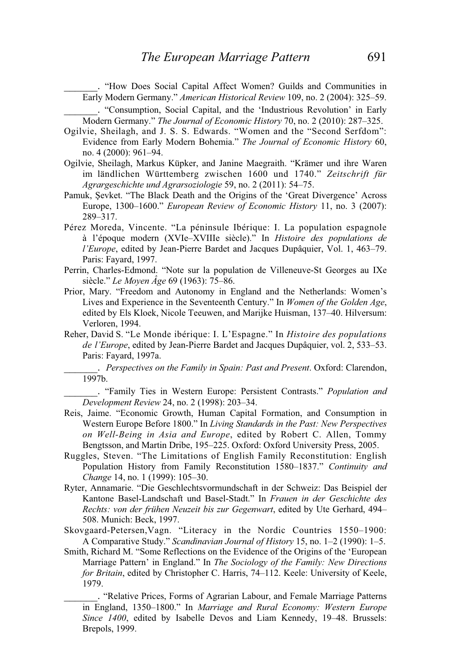\_\_\_\_\_\_. "How Does Social Capital Affect Women? Guilds and Communities in Early Modern Germany." *American Historical Review* 109, no. 2 (2004): 325–59. \_\_\_\_\_\_. "Consumption, Social Capital, and the 'Industrious Revolution' in Early

Modern Germany." *The Journal of Economic History* 70, no. 2 (2010): 287–325.

- Ogilvie, Sheilagh, and J. S. S. Edwards. "Women and the "Second Serfdom": Evidence from Early Modern Bohemia." *The Journal of Economic History* 60, no. 4 (2000): 961–94.
- Ogilvie, Sheilagh, Markus Küpker, and Janine Maegraith. "Krämer und ihre Waren im ländlichen Württemberg zwischen 1600 und 1740." *Zeitschrift für Agrargeschichte und Agrarsoziologie* 59, no. 2 (2011): 54–75.
- Pamuk, Şevket. "The Black Death and the Origins of the 'Great Divergence' Across Europe, 1300–1600." *European Review of Economic History* 11, no. 3 (2007): 289–317.
- Pérez Moreda, Vincente. "La péninsule Ibérique: I. La population espagnole à l'époque modern (XVIe–XVIIIe siècle)." In *Histoire des populations de l'Europe*, edited by Jean-Pierre Bardet and Jacques Dupâquier, Vol. 1, 463–79. Paris: Fayard, 1997.
- Perrin, Charles-Edmond. "Note sur la population de Villeneuve-St Georges au IXe siècle." *Le Moyen Âge* 69 (1963): 75–86.
- Prior, Mary. "Freedom and Autonomy in England and the Netherlands: Women's Lives and Experience in the Seventeenth Century." In *Women of the Golden Age*, edited by Els Kloek, Nicole Teeuwen, and Marijke Huisman, 137–40. Hilversum: Verloren, 1994.
- Reher, David S. "Le Monde ibérique: I. L'Espagne." In *Histoire des populations de l'Europe*, edited by Jean-Pierre Bardet and Jacques Dupâquier, vol. 2, 533–53. Paris: Fayard, 1997a.

\_\_\_\_\_\_. *Perspectives on the Family in Spain: Past and Present*. Oxford: Clarendon, 1997b.

\_\_\_\_\_\_. "Family Ties in Western Europe: Persistent Contrasts." *Population and Development Review* 24, no. 2 (1998): 203–34.

- Reis, Jaime. "Economic Growth, Human Capital Formation, and Consumption in Western Europe Before 1800." In *Living Standards in the Past: New Perspectives on Well-Being in Asia and Europe*, edited by Robert C. Allen, Tommy Bengtsson, and Martin Dribe, 195–225. Oxford: Oxford University Press, 2005.
- Ruggles, Steven. "The Limitations of English Family Reconstitution: English Population History from Family Reconstitution 1580–1837." *Continuity and Change* 14, no. 1 (1999): 105–30.
- Ryter, Annamarie. "Die Geschlechtsvormundschaft in der Schweiz: Das Beispiel der Kantone Basel-Landschaft und Basel-Stadt." In *Frauen in der Geschichte des Rechts: von der frühen Neuzeit bis zur Gegenwart*, edited by Ute Gerhard, 494– 508. Munich: Beck, 1997.
- Skovgaard-Petersen,Vagn. "Literacy in the Nordic Countries 1550–1900: A Comparative Study." *Scandinavian Journal of History* 15, no. 1–2 (1990): 1–5.
- Smith, Richard M. "Some Reflections on the Evidence of the Origins of the 'European Marriage Pattern' in England." In *The Sociology of the Family: New Directions for Britain*, edited by Christopher C. Harris, 74–112. Keele: University of Keele, 1979.
	- \_\_\_\_\_\_. "Relative Prices, Forms of Agrarian Labour, and Female Marriage Patterns in England, 1350–1800." In *Marriage and Rural Economy: Western Europe Since 1400*, edited by Isabelle Devos and Liam Kennedy, 19–48. Brussels: Brepols, 1999.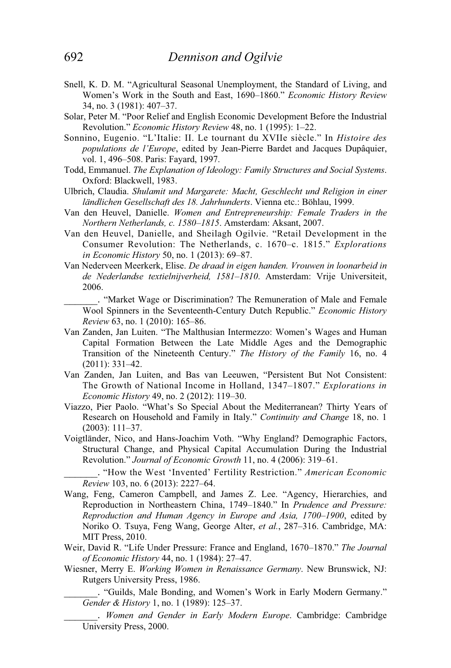- Snell, K. D. M. "Agricultural Seasonal Unemployment, the Standard of Living, and Women's Work in the South and East, 1690–1860." *Economic History Review* 34, no. 3 (1981): 407–37.
- Solar, Peter M. "Poor Relief and English Economic Development Before the Industrial Revolution." *Economic History Review* 48, no. 1 (1995): 1–22.
- Sonnino, Eugenio. "L'Italie: II. Le tournant du XVIIe siècle." In *Histoire des populations de l'Europe*, edited by Jean-Pierre Bardet and Jacques Dupâquier, vol. 1, 496–508. Paris: Fayard, 1997.
- Todd, Emmanuel. *The Explanation of Ideology: Family Structures and Social Systems*. Oxford: Blackwell, 1983.
- Ulbrich, Claudia. *Shulamit und Margarete: Macht, Geschlecht und Religion in einer ländlichen Gesellschaft des 18. Jahrhunderts*. Vienna etc.: Böhlau, 1999.
- Van den Heuvel, Danielle. *Women and Entrepreneurship: Female Traders in the Northern Netherlands, c. 1580*–*1815*. Amsterdam: Aksant, 2007.
- Van den Heuvel, Danielle, and Sheilagh Ogilvie. "Retail Development in the Consumer Revolution: The Netherlands, c. 1670–c. 1815." *Explorations in Economic History* 50, no. 1 (2013): 69–87.
- Van Nederveen Meerkerk, Elise. *De draad in eigen handen. Vrouwen in loonarbeid in de Nederlandse textielnijverheid, 1581*–*1810*. Amsterdam: Vrije Universiteit, 2006.
	- \_\_\_\_\_\_. "Market Wage or Discrimination? The Remuneration of Male and Female Wool Spinners in the Seventeenth-Century Dutch Republic." *Economic History Review* 63, no. 1 (2010): 165–86.
- Van Zanden, Jan Luiten. "The Malthusian Intermezzo: Women's Wages and Human Capital Formation Between the Late Middle Ages and the Demographic Transition of the Nineteenth Century." *The History of the Family* 16, no. 4 (2011): 331–42.
- Van Zanden, Jan Luiten, and Bas van Leeuwen, "Persistent But Not Consistent: The Growth of National Income in Holland, 1347–1807." *Explorations in Economic History* 49, no. 2 (2012): 119–30.
- Viazzo, Pier Paolo. "What's So Special About the Mediterranean? Thirty Years of Research on Household and Family in Italy." *Continuity and Change* 18, no. 1 (2003): 111–37.
- Voigtländer, Nico, and Hans-Joachim Voth. "Why England? Demographic Factors, Structural Change, and Physical Capital Accumulation During the Industrial Revolution." *Journal of Economic Growth* 11, no. 4 (2006): 319–61.
	- \_\_\_\_\_\_. "How the West 'Invented' Fertility Restriction." *American Economic Review* 103, no. 6 (2013): 2227–64.
- Wang, Feng, Cameron Campbell, and James Z. Lee. "Agency, Hierarchies, and Reproduction in Northeastern China, 1749–1840." In *Prudence and Pressure: Reproduction and Human Agency in Europe and Asia, 1700*–*1900*, edited by Noriko O. Tsuya, Feng Wang, George Alter, *et al.*, 287–316. Cambridge, MA: MIT Press, 2010.
- Weir, David R. "Life Under Pressure: France and England, 1670–1870." *The Journal of Economic History* 44, no. 1 (1984): 27–47.
- Wiesner, Merry E. *Working Women in Renaissance Germany*. New Brunswick, NJ: Rutgers University Press, 1986.
	- \_\_\_\_\_\_. "Guilds, Male Bonding, and Women's Work in Early Modern Germany." *Gender & History* 1, no. 1 (1989): 125–37.
	- \_\_\_\_\_\_. *Women and Gender in Early Modern Europe*. Cambridge: Cambridge University Press, 2000.